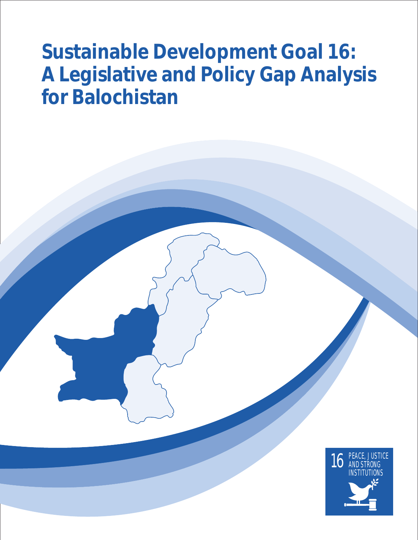# **Sustainable Development Goal 16: A Legislative and Policy Gap Analysis for Balochistan**

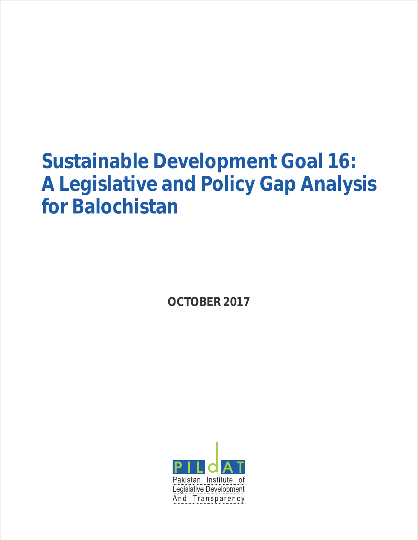# **Sustainable Development Goal 16: A Legislative and Policy Gap Analysis for Balochistan**

**OCTOBER 2017**

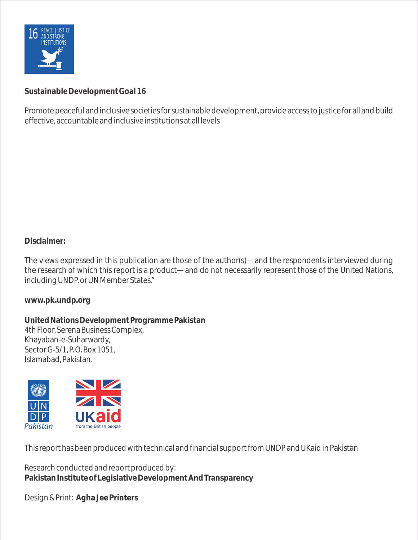

**Sustainable Development Goal 16**

Promote peaceful and inclusive societies for sustainable development, provide access to justice for all and build effective, accountable and inclusive institutions at all levels

**Disclaimer:**

The views expressed in this publication are those of the author(s)—and the respondents interviewed during the research of which this report is a product—and do not necessarily represent those of the United Nations, including UNDP, or UN Member States."

**www.pk.undp.org**

**United Nations Development Programme Pakistan**  4th Floor, Serena Business Complex, Khayaban-e-Suharwardy, Sector G-5/1, P.O. Box 1051, Islamabad, Pakistan.



This report has been produced with technical and financial support from UNDP and UKaid in Pakistan

Research conducted and report produced by: **Pakistan Institute of Legislative Development And Transparency**

Design & Print: **Agha Jee Printers**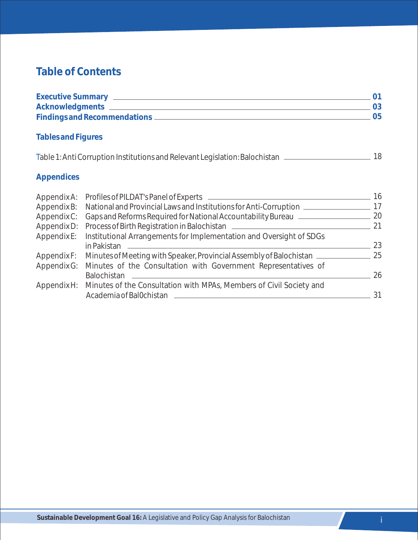# **Table of Contents**

| <b>Executive Summary</b>       |  |
|--------------------------------|--|
| Acknowledgments .              |  |
| Findings and Recommendations _ |  |

## **Tables and Figures**

| Table 1: Anti Corruption Institutions and Relevant Legislation: Balochistan. |  |
|------------------------------------------------------------------------------|--|
|                                                                              |  |

## **Appendices**

|             | Appendix A: Profiles of PILDAT's Panel of Experts ________                | 16 |
|-------------|---------------------------------------------------------------------------|----|
| Appendix B: | National and Provincial Laws and Institutions for Anti-Corruption _       |    |
| Appendix C: | Gaps and Reforms Required for National Accountability Bureau ____         | 20 |
| Appendix D: | Process of Birth Registration in Balochistan                              | 21 |
| Appendix E: | Institutional Arrangements for Implementation and Oversight of SDGs       |    |
|             | in Pakistan                                                               | 23 |
| Appendix F: | Minutes of Meeting with Speaker, Provincial Assembly of Balochistan _____ | 25 |
| Appendix G: | Minutes of the Consultation with Government Representatives of            |    |
|             | <b>Balochistan</b>                                                        | 26 |
| Appendix H: | Minutes of the Consultation with MPAs, Members of Civil Society and       |    |
|             | Academia of Bal0chistan                                                   | 31 |
|             |                                                                           |    |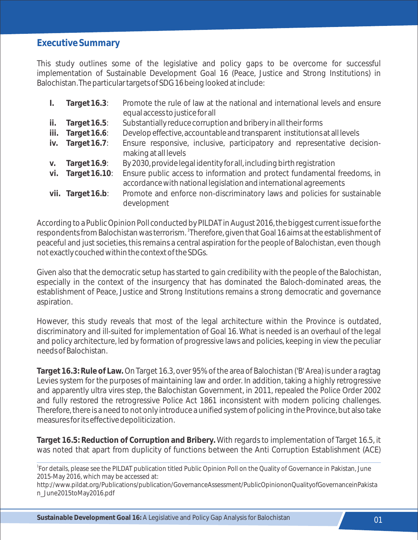## **Executive Summary**

This study outlines some of the legislative and policy gaps to be overcome for successful implementation of Sustainable Development Goal 16 (Peace, Justice and Strong Institutions) in Balochistan. The particular targets of SDG 16 being looked at include:

| $\mathbf{L}$ | Target 16.3:      | Promote the rule of law at the national and international levels and ensure<br>equal access to justice for all                                |
|--------------|-------------------|-----------------------------------------------------------------------------------------------------------------------------------------------|
| ii.          | Target 16.5:      | Substantially reduce corruption and bribery in all their forms                                                                                |
|              | iii. Target 16.6: | Develop effective, accountable and transparent institutions at all levels                                                                     |
|              | iv. Target 16.7:  | Ensure responsive, inclusive, participatory and representative decision-<br>making at all levels                                              |
| V.           | Target $16.9$ :   | By 2030, provide legal identity for all, including birth registration                                                                         |
|              | vi. Target 16.10: | Ensure public access to information and protect fundamental freedoms, in<br>accordance with national legislation and international agreements |
|              | vii. Target 16.b: | Promote and enforce non-discriminatory laws and policies for sustainable<br>development                                                       |

According to a Public Opinion Poll conducted by PILDAT in August 2016, the biggest current issue for the respondents from Balochistan was terrorism. <sup>1</sup>Therefore, given that Goal 16 aims at the establishment of peaceful and just societies, this remains a central aspiration for the people of Balochistan, even though not exactly couched within the context of the SDGs.

Given also that the democratic setup has started to gain credibility with the people of the Balochistan, especially in the context of the insurgency that has dominated the Baloch-dominated areas, the establishment of Peace, Justice and Strong Institutions remains a strong democratic and governance aspiration.

However, this study reveals that most of the legal architecture within the Province is outdated, discriminatory and ill-suited for implementation of Goal 16. What is needed is an overhaul of the legal and policy architecture, led by formation of progressive laws and policies, keeping in view the peculiar needs of Balochistan.

**Target 16.3: Rule of Law.**On Target 16.3, over 95% of the area of Balochistan ('B' Area) is under a ragtag Levies system for the purposes of maintaining law and order. In addition, taking a highly retrogressive and apparently ultra vires step, the Balochistan Government, in 2011, repealed the Police Order 2002 and fully restored the retrogressive Police Act 1861 inconsistent with modern policing challenges. Therefore, there is a need to not only introduce a unified system of policing in the Province, but also take measures for its effective depoliticization.

**Target 16.5: Reduction of Corruption and Bribery.** With regards to implementation of Target 16.5, it was noted that apart from duplicity of functions between the Anti Corruption Establishment (ACE)

http://www.pildat.org/Publications/publication/GovernanceAssessment/PublicOpiniononQualityofGovernanceinPakista n\_June2015toMay2016.pdf

<sup>&</sup>lt;sup>1</sup>For details, please see the PILDAT publication titled Public Opinion Poll on the Quality of Governance in Pakistan, June 2015-May 2016, which may be accessed at: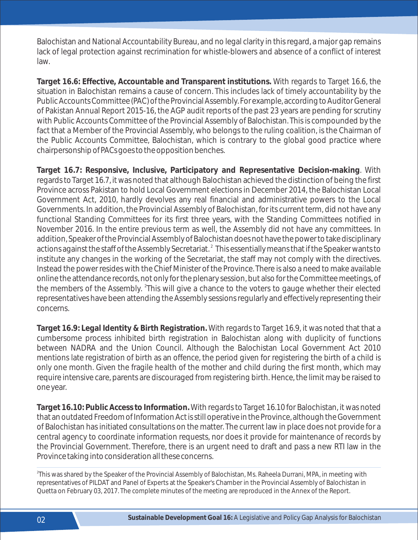Balochistan and National Accountability Bureau, and no legal clarity in this regard, a major gap remains lack of legal protection against recrimination for whistle-blowers and absence of a conflict of interest law.

**Target 16.6: Effective, Accountable and Transparent institutions.** With regards to Target 16.6, the situation in Balochistan remains a cause of concern. This includes lack of timely accountability by the Public Accounts Committee (PAC) of the Provincial Assembly. For example, according to Auditor General of Pakistan Annual Report 2015-16, the AGP audit reports of the past 23 years are pending for scrutiny with Public Accounts Committee of the Provincial Assembly of Balochistan. This is compounded by the fact that a Member of the Provincial Assembly, who belongs to the ruling coalition, is the Chairman of the Public Accounts Committee, Balochistan, which is contrary to the global good practice where chairpersonship of PACs goes to the opposition benches.

**Target 16.7: Responsive, Inclusive, Participatory and Representative Decision-making**. With regards to Target 16.7, it was noted that although Balochistan achieved the distinction of being the first Province across Pakistan to hold Local Government elections in December 2014, the Balochistan Local Government Act, 2010, hardly devolves any real financial and administrative powers to the Local Governments. In addition, the Provincial Assembly of Balochistan, for its current term, did not have any functional Standing Committees for its first three years, with the Standing Committees notified in November 2016. In the entire previous term as well, the Assembly did not have any committees. In addition, Speaker of the Provincial Assembly of Balochistan does not have the power to take disciplinary actions against the staff of the Assembly Secretariat.  $^2$  This essentially means that if the Speaker wants to institute any changes in the working of the Secretariat, the staff may not comply with the directives. Instead the power resides with the Chief Minister of the Province. There is also a need to make available online the attendance records, not only for the plenary session, but also for the Committee meetings, of the members of the Assembly. <sup>2</sup>This will give a chance to the voters to gauge whether their elected representatives have been attending the Assembly sessions regularly and effectively representing their concerns.

**Target 16.9: Legal Identity & Birth Registration.** With regards to Target 16.9, it was noted that that a cumbersome process inhibited birth registration in Balochistan along with duplicity of functions between NADRA and the Union Council. Although the Balochistan Local Government Act 2010 mentions late registration of birth as an offence, the period given for registering the birth of a child is only one month. Given the fragile health of the mother and child during the first month, which may require intensive care, parents are discouraged from registering birth. Hence, the limit may be raised to one year.

**Target 16.10: Public Access to Information.**With regards to Target 16.10 for Balochistan, it was noted that an outdated Freedom of Information Act is still operative in the Province, although the Government of Balochistan has initiated consultations on the matter. The current law in place does not provide for a central agency to coordinate information requests, nor does it provide for maintenance of records by the Provincial Government. Therefore, there is an urgent need to draft and pass a new RTI law in the Province taking into consideration all these concerns.

 $^{\rm 2}$ This was shared by the Speaker of the Provincial Assembly of Balochistan, Ms. Raheela Durrani, MPA, in meeting with representatives of PILDAT and Panel of Experts at the Speaker's Chamber in the Provincial Assembly of Balochistan in Quetta on February 03, 2017. The complete minutes of the meeting are reproduced in the Annex of the Report.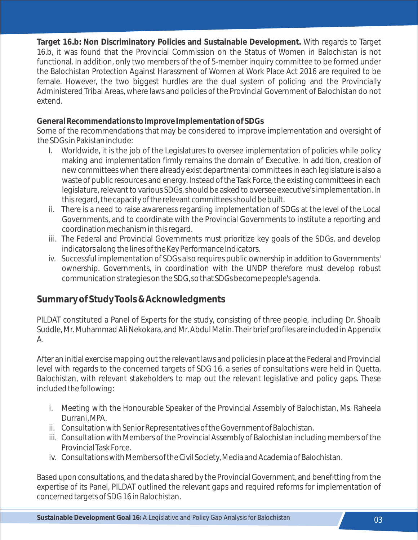**Target 16.b: Non Discriminatory Policies and Sustainable Development.** With regards to Target 16.b, it was found that the Provincial Commission on the Status of Women in Balochistan is not functional. In addition, only two members of the of 5-member inquiry committee to be formed under the Balochistan Protection Against Harassment of Women at Work Place Act 2016 are required to be female. However, the two biggest hurdles are the dual system of policing and the Provincially Administered Tribal Areas, where laws and policies of the Provincial Government of Balochistan do not extend.

## **General Recommendations to Improve Implementation of SDGs**

Some of the recommendations that may be considered to improve implementation and oversight of the SDGs in Pakistan include:

- I. Worldwide, it is the job of the Legislatures to oversee implementation of policies while policy making and implementation firmly remains the domain of Executive. In addition, creation of new committees when there already exist departmental committees in each legislature is also a waste of public resources and energy. Instead of the Task Force, the existing committees in each legislature, relevant to various SDGs, should be asked to oversee executive's implementation. In this regard, the capacity of the relevant committees should be built.
- ii. There is a need to raise awareness regarding implementation of SDGs at the level of the Local Governments, and to coordinate with the Provincial Governments to institute a reporting and coordination mechanism in this regard.
- iii. The Federal and Provincial Governments must prioritize key goals of the SDGs, and develop indicators along the lines of the Key Performance Indicators.
- iv. Successful implementation of SDGs also requires public ownership in addition to Governments' ownership. Governments, in coordination with the UNDP therefore must develop robust communication strategies on the SDG, so that SDGs become people's agenda.

## **Summary of Study Tools & Acknowledgments**

PILDAT constituted a Panel of Experts for the study, consisting of three people, including Dr. Shoaib Suddle, Mr. Muhammad Ali Nekokara, and Mr. Abdul Matin. Their brief profiles are included in Appendix A.

After an initial exercise mapping out the relevant laws and policies in place at the Federal and Provincial level with regards to the concerned targets of SDG 16, a series of consultations were held in Quetta, Balochistan, with relevant stakeholders to map out the relevant legislative and policy gaps. These included the following:

- i. Meeting with the Honourable Speaker of the Provincial Assembly of Balochistan, Ms. Raheela Durrani, MPA.
- ii. Consultation with Senior Representatives of the Government of Balochistan.
- iii. Consultation with Members of the Provincial Assembly of Balochistan including members of the Provincial Task Force.
- iv. Consultations with Members of the Civil Society, Media and Academia of Balochistan.

Based upon consultations, and the data shared by the Provincial Government, and benefitting from the expertise of its Panel, PILDAT outlined the relevant gaps and required reforms for implementation of concerned targets of SDG 16 in Balochistan.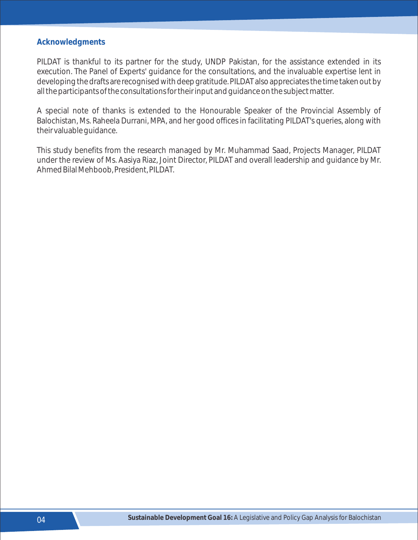#### **Acknowledgments**

PILDAT is thankful to its partner for the study, UNDP Pakistan, for the assistance extended in its execution. The Panel of Experts' guidance for the consultations, and the invaluable expertise lent in developing the drafts are recognised with deep gratitude. PILDAT also appreciates the time taken out by all the participants of the consultations for their input and guidance on the subject matter.

A special note of thanks is extended to the Honourable Speaker of the Provincial Assembly of Balochistan, Ms. Raheela Durrani, MPA, and her good offices in facilitating PILDAT's queries, along with their valuable guidance.

This study benefits from the research managed by Mr. Muhammad Saad, Projects Manager, PILDAT under the review of Ms. Aasiya Riaz, Joint Director, PILDAT and overall leadership and guidance by Mr. Ahmed Bilal Mehboob, President, PILDAT.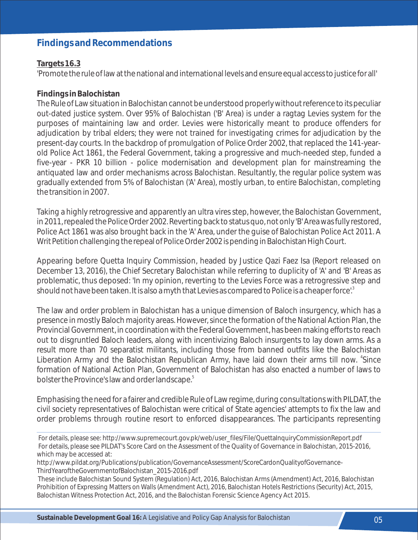## **Findings and Recommendations**

#### **Targets 16.3**

'Promote the rule of law at the national and international levels and ensure equal access to justice for all'

#### **Findings in Balochistan**

The Rule of Law situation in Balochistan cannot be understood properly without reference to its peculiar out-dated justice system. Over 95% of Balochistan ('B' Area) is under a ragtag Levies system for the purposes of maintaining law and order. Levies were historically meant to produce offenders for adjudication by tribal elders; they were not trained for investigating crimes for adjudication by the present-day courts. In the backdrop of promulgation of Police Order 2002, that replaced the 141-yearold Police Act 1861, the Federal Government, taking a progressive and much-needed step, funded a five-year - PKR 10 billion - police modernisation and development plan for mainstreaming the antiquated law and order mechanisms across Balochistan. Resultantly, the regular police system was gradually extended from 5% of Balochistan ('A' Area), mostly urban, to entire Balochistan, completing the transition in 2007.

Taking a highly retrogressive and apparently an ultra vires step, however, the Balochistan Government, in 2011, repealed the Police Order 2002. Reverting back to status quo, not only 'B' Area was fully restored, Police Act 1861 was also brought back in the 'A' Area, under the guise of Balochistan Police Act 2011. A Writ Petition challenging the repeal of Police Order 2002 is pending in Balochistan High Court.

Appearing before Quetta Inquiry Commission, headed by Justice Qazi Faez Isa (Report released on December 13, 2016), the Chief Secretary Balochistan while referring to duplicity of 'A' and 'B' Areas as problematic, thus deposed: 'In my opinion, reverting to the Levies Force was a retrogressive step and should not have been taken. It is also a myth that Levies as compared to Police is a cheaper force!<sup>3</sup>

The law and order problem in Balochistan has a unique dimension of Baloch insurgency, which has a presence in mostly Baloch majority areas. However, since the formation of the National Action Plan, the Provincial Government, in coordination with the Federal Government, has been making efforts to reach out to disgruntled Baloch leaders, along with incentivizing Baloch insurgents to lay down arms. As a result more than 70 separatist militants, including those from banned outfits like the Balochistan Liberation Army and the Balochistan Republican Army, have laid down their arms till now. <sup>4</sup>Since formation of National Action Plan, Government of Balochistan has also enacted a number of laws to bolster the Province's law and order landscape.<sup>5</sup>

Emphasising the need for a fairer and credible Rule of Law regime, during consultations with PILDAT, the civil society representatives of Balochistan were critical of State agencies' attempts to fix the law and order problems through routine resort to enforced disappearances. The participants representing

http://www.pildat.org/Publications/publication/GovernanceAssessment/ScoreCardonQualityofGovernance-ThirdYearoftheGovernmentofBalochistan\_2015-2016.pdf

These include Balochistan Sound System (Regulation) Act, 2016, Balochistan Arms (Amendment) Act, 2016, Balochistan Prohibition of Expressing Matters on Walls (Amendment Act), 2016, Balochistan Hotels Restrictions (Security) Act, 2015, Balochistan Witness Protection Act, 2016, and the Balochistan Forensic Science Agency Act 2015.

For details, please see: http://www.supremecourt.gov.pk/web/user\_files/File/QuettaInquiryCommissionReport.pdf For details, please see PILDAT's Score Card on the Assessment of the Quality of Governance in Balochistan, 2015-2016, which may be accessed at: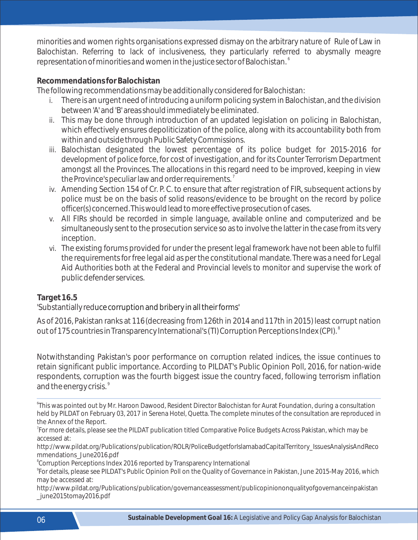minorities and women rights organisations expressed dismay on the arbitrary nature of Rule of Law in Balochistan. Referring to lack of inclusiveness, they particularly referred to abysmally meagre representation of minorities and women in the justice sector of Balochistan.  $^{\circ}$ 

#### **Recommendations for Balochistan**

The following recommendations may be additionally considered for Balochistan:

- i. There is an urgent need of introducing a uniform policing system in Balochistan, and the division between 'A' and 'B' areas should immediately be eliminated.
- ii. This may be done through introduction of an updated legislation on policing in Balochistan, which effectively ensures depoliticization of the police, along with its accountability both from within and outside through Public Safety Commissions.
- iii. Balochistan designated the lowest percentage of its police budget for 2015-2016 for development of police force, for cost of investigation, and for its Counter Terrorism Department amongst all the Provinces. The allocations in this regard need to be improved, keeping in view the Province's peculiar law and order requirements. $^7$
- iv. Amending Section 154 of Cr. P. C. to ensure that after registration of FIR, subsequent actions by police must be on the basis of solid reasons/evidence to be brought on the record by police officer(s) concerned. This would lead to more effective prosecution of cases.
- v. All FIRs should be recorded in simple language, available online and computerized and be simultaneously sent to the prosecution service so as to involve the latter in the case from its very inception.
- vi. The existing forums provided for under the present legal framework have not been able to fulfil the requirements for free legal aid as per the constitutional mandate. There was a need for Legal Aid Authorities both at the Federal and Provincial levels to monitor and supervise the work of public defender services.

#### **Target 16.5**

'Substantially red uce corruption and bribery in all their forms'

As of 2016, Pakistan ranks at 116(decreasing from126th in 2014 and117th in 2015) least corrupt nation out of 175 countries in Transparency International's (TI) Corruption Perceptions Index (CPI). <sup>8</sup>

Notwithstanding Pakistan's poor performance on corruption related indices, the issue continues to retain significant public importance. According to PILDAT's Public Opinion Poll, 2016, for nation-wide respondents, corruption was the fourth biggest issue the country faced, following terrorism inflation and the energy crisis.<sup>9</sup>

http://www.pildat.org/Publications/publication/ROLR/PoliceBudgetforIslamabadCapitalTerritory\_IssuesAnalysisAndReco mmendations\_June2016.pdf

8 Corruption Perceptions Index 2016 reported by Transparency International

9 For details, please see PILDAT's Public Opinion Poll on the Quality of Governance in Pakistan, June 2015-May 2016, which may be accessed at:

http://www.pildat.org/Publications/publication/governanceassessment/publicopiniononqualityofgovernanceinpakistan \_june2015tomay2016.pdf

<sup>6</sup> This was pointed out by Mr. Haroon Dawood, Resident Director Balochistan for Aurat Foundation, during a consultation held by PILDAT on February 03, 2017 in Serena Hotel, Quetta. The complete minutes of the consultation are reproduced in the Annex of the Report.

<sup>&</sup>lt;sup>7</sup>For more details, please see the PILDAT publication titled Comparative Police Budgets Across Pakistan, which may be accessed at: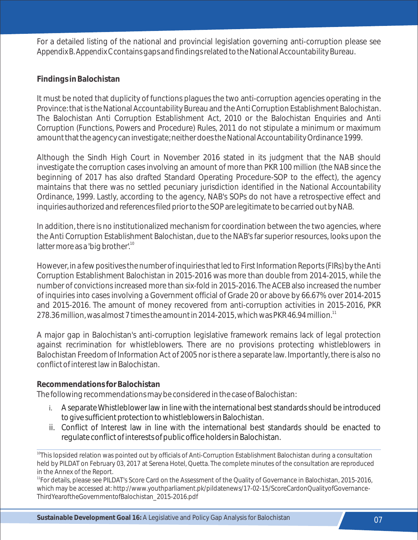For a detailed listing of the national and provincial legislation governing anti-corruption please see *Appendix B*. *Appendix C* contains gaps and findings related to the National Accountability Bureau.

#### **Findings in Balochistan**

It must be noted that duplicity of functions plagues the two anti-corruption agencies operating in the Province: that is the National Accountability Bureau and the Anti Corruption Establishment Balochistan. The Balochistan Anti Corruption Establishment Act, 2010 or the Balochistan Enquiries and Anti Corruption (Functions, Powers and Procedure) Rules, 2011 do not stipulate a minimum or maximum amount that the agency can investigate; neither does the National Accountability Ordinance 1999.

Although the Sindh High Court in November 2016 stated in its judgment that the NAB should investigate the corruption cases involving an amount of more than PKR 100 million (the NAB since the beginning of 2017 has also drafted Standard Operating Procedure-SOP to the effect), the agency maintains that there was no settled pecuniary jurisdiction identified in the National Accountability Ordinance, 1999. Lastly, according to the agency, NAB's SOPs do not have a retrospective effect and inquiries authorized and references filed prior to the SOP are legitimate to be carried out by NAB.

In addition, there is no institutionalized mechanism for coordination between the two agencies, where the Anti Corruption Establishment Balochistan, due to the NAB's far superior resources, looks upon the latter more as a 'big brother'.<sup>10</sup>

However, in a few positives the number of inquiries that led to First Information Reports (FIRs) by the Anti Corruption Establishment Balochistan in 2015-2016 was more than double from 2014-2015, while the number of convictions increased more than six-fold in 2015-2016. The ACEB also increased the number of inquiries into cases involving a Government official of Grade 20 or above by 66.67% over 2014-2015 and 2015-2016. The amount of money recovered from anti-corruption activities in 2015-2016, PKR 278.36 million, was almost 7 times the amount in 2014-2015, which was PKR 46.94 million.<sup>11</sup>

A major gap in Balochistan's anti-corruption legislative framework remains lack of legal protection against recrimination for whistleblowers. There are no provisions protecting whistleblowers in Balochistan Freedom of Information Act of 2005 nor is there a separate law. Importantly, there is also no conflict of interest law in Balochistan.

#### **Recommendations for Balochistan**

The following recommendations may be considered in the case of Balochistan:

- i. A separate Whistleblower law in line with the international best standards should be introduced to give sufficient protection to whistleblowers in Balochistan.
- ii. Conflict of Interest law in line with the international best standards should be enacted to regulate conflict of interests of public office holders in Balochistan.

 $10$ This lopsided relation was pointed out by officials of Anti-Corruption Establishment Balochistan during a consultation held by PILDAT on February 03, 2017 at Serena Hotel, Quetta. The complete minutes of the consultation are reproduced in the Annex of the Report.

<sup>&</sup>lt;sup>11</sup>For details, please see PILDAT's Score Card on the Assessment of the Quality of Governance in Balochistan, 2015-2016, which may be accessed at: http://www.youthparliament.pk/pildatenews/17-02-15/ScoreCardonQualityofGovernance-ThirdYearoftheGovernmentofBalochistan\_2015-2016.pdf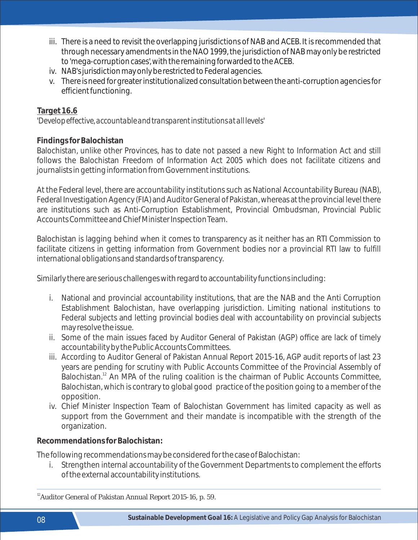- iii. There is a need to revisit the overlapping jurisdictions of NAB and ACEB. It is recommended that through necessary amendments in the NAO 1999, the jurisdiction of NAB may only be restricted to 'mega-corruption cases', with the remaining forwarded to the ACEB.
- iv. NAB's jurisdiction may only be restricted to Federal agencies.
- v. There is need for greater institutionalized consultation between the anti-corruption agencies for efficient functioning.

### **Target 16.6**

'*Develop effective, accountable and transparent institutions at all levels'*

#### **Findings for Balochistan**

Balochistan, unlike other Provinces, has to date not passed a new Right to Information Act and still follows the Balochistan Freedom of Information Act 2005 which does not facilitate citizens and journalists in getting information from Government institutions.

At the Federal level, there are accountability institutions such as National Accountability Bureau (NAB), Federal Investigation Agency (FIA) and Auditor General of Pakistan, whereas at the provincial level there are institutions such as Anti-Corruption Establishment, Provincial Ombudsman, Provincial Public Accounts Committee and Chief Minister Inspection Team.

Balochistan is lagging behind when it comes to transparency as it neither has an RTI Commission to facilitate citizens in getting information from Government bodies nor a provincial RTI law to fulfill international obligations and standards of transparency.

Similarly there are serious challenges with regard to accountability functions including:

- i. National and provincial accountability institutions, that are the NAB and the Anti Corruption Establishment Balochistan, have overlapping jurisdiction. Limiting national institutions to Federal subjects and letting provincial bodies deal with accountability on provincial subjects may resolve the issue.
- ii. Some of the main issues faced by Auditor General of Pakistan (AGP) office are lack of timely accountability by the Public Accounts Committees.
- iii. According to Auditor General of Pakistan Annual Report 2015-16, AGP audit reports of last 23 years are pending for scrutiny with Public Accounts Committee of the Provincial Assembly of Balochistan.<sup>12</sup> An MPA of the ruling coalition is the chairman of Public Accounts Committee, Balochistan, which is contrary to global good practice of the position going to a member of the opposition.
- iv. Chief Minister Inspection Team of Balochistan Government has limited capacity as well as support from the Government and their mandate is incompatible with the strength of the organization.

**Recommendations for Balochistan:**

The following recommendations may be considered for the case of Balochistan:

i. Strengthen internal accountability of the Government Departments to complement the efforts of the external accountability institutions.

 $12$ Auditor General of Pakistan Annual Report 2015-16, p. 59.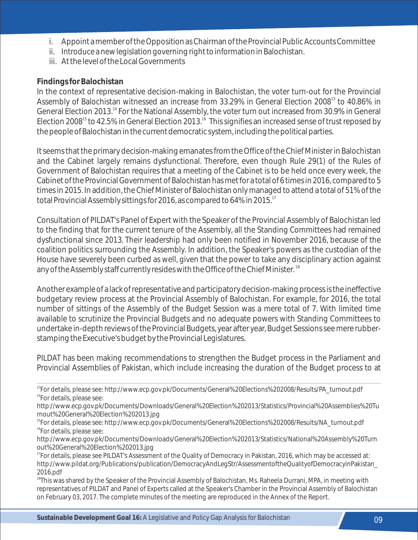- i. Appoint a member of the Opposition as Chairman of the Provincial Public Accounts Committee
- ii. Introduce a new legislation governing right to information in Balochistan.
- iii. At the level of the Local Governments

#### **Findings for Balochistan**

In the context of representative decision-making in Balochistan, the voter turn-out for the Provincial Assembly of Balochistan witnessed an increase from 33.29% in General Election 2008<sup>13</sup> to 40.86% in General Election 2013.<sup>14</sup> For the National Assembly, the voter turn out increased from 30.9% in General Election 2008<sup>15</sup> to 42.5% in General Election 2013.<sup>16</sup> This signifies an increased sense of trust reposed by the people of Balochistan in the current democratic system, including the political parties.

It seems that the primary decision-making emanates from the Office of the Chief Minister in Balochistan and the Cabinet largely remains dysfunctional. Therefore, even though Rule 29(1) of the Rules of Government of Balochistan requires that a meeting of the Cabinet is to be held once every week, the Cabinet of the Provincial Government of Balochistan has met for a total of 6 times in 2016, compared to 5 times in 2015. In addition, the Chief Minister of Balochistan only managed to attend a total of 51% of the total Provincial Assembly sittings for 2016, as compared to 64% in 2015.<sup>17</sup>

Consultation of PILDAT's Panel of Expert with the Speaker of the Provincial Assembly of Balochistan led to the finding that for the current tenure of the Assembly, all the Standing Committees had remained dysfunctional since 2013. Their leadership had only been notified in November 2016, because of the coalition politics surrounding the Assembly. In addition, the Speaker's powers as the custodian of the House have severely been curbed as well, given that the power to take any disciplinary action against any of the Assembly staff currently resides with the Office of the Chief Minister.<sup>18</sup>

Another example of a lack of representative and participatory decision-making process is the ineffective budgetary review process at the Provincial Assembly of Balochistan. For example, for 2016, the total number of sittings of the Assembly of the Budget Session was a mere total of 7. With limited time available to scrutinize the Provincial Budgets and no adequate powers with Standing Committees to undertake in-depth reviews of the Provincial Budgets, year after year, Budget Sessions see mere rubberstamping the Executive's budget by the Provincial Legislatures.

PILDAT has been making recommendations to strengthen the Budget process in the Parliament and Provincial Assemblies of Pakistan, which include increasing the duration of the Budget process to at

<sup>18</sup>This was shared by the Speaker of the Provincial Assembly of Balochistan, Ms. Raheela Durrani, MPA, in meeting with representatives of PILDAT and Panel of Experts called at the Speaker's Chamber in the Provincial Assembly of Balochistan on February 03, 2017. The complete minutes of the meeting are reproduced in the Annex of the Report.

<sup>&</sup>lt;sup>13</sup>For details, please see: http://www.ecp.gov.pk/Documents/General%20Elections%202008/Results/PA\_turnout.pdf <sup>14</sup>For details, please see:

http://www.ecp.gov.pk/Documents/Downloads/General%20Election%202013/Statistics/Provincial%20Assemblies%20Tu rnout%20General%20Election%202013.jpg

<sup>&</sup>lt;sup>15</sup>For details, please see: http://www.ecp.gov.pk/Documents/General%20Elections%202008/Results/NA\_turnout.pdf <sup>16</sup>For details, please see:

http://www.ecp.gov.pk/Documents/Downloads/General%20Election%202013/Statistics/National%20Assembly%20Turn out%20General%20Election%202013.jpg

<sup>&</sup>lt;sup>17</sup>For details, please see PILDAT's Assessment of the Quality of Democracy in Pakistan, 2016, which may be accessed at: http://www.pildat.org/Publications/publication/DemocracyAndLegStr/AssessmentoftheQualityofDemocracyinPakistan\_ 2016.pdf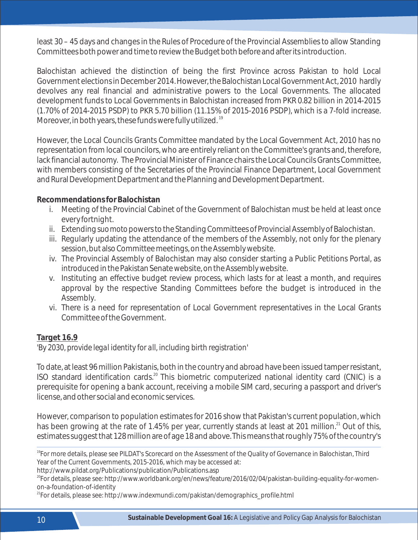least 30 – 45 days and changes in the Rules of Procedure of the Provincial Assemblies to allow Standing Committees both power and time to review the Budget both before and after its introduction.

Balochistan achieved the distinction of being the first Province across Pakistan to hold Local Government elections in December 2014. However, the Balochistan Local Government Act, 2010 hardly devolves any real financial and administrative powers to the Local Governments. The allocated development funds to Local Governments in Balochistan increased from PKR 0.82 billion in 2014-2015 (1.70% of 2014-2015 PSDP) to PKR 5.70 billion (11.15% of 2015-2016 PSDP), which is a 7-fold increase. Moreover, in both years, these funds were fully utilized.  $19$ 

However, the Local Councils Grants Committee mandated by the Local Government Act, 2010 has no representation from local councilors, who are entirely reliant on the Committee's grants and, therefore, lack financial autonomy. The Provincial Minister of Finance chairs the Local Councils Grants Committee, with members consisting of the Secretaries of the Provincial Finance Department, Local Government and Rural Development Department and the Planning and Development Department.

**Recommendations for Balochistan**

- i. Meeting of the Provincial Cabinet of the Government of Balochistan must be held at least once every fortnight.
- ii. Extending *suo moto*powers to the Standing Committees of Provincial Assembly of Balochistan.
- iii. Regularly updating the attendance of the members of the Assembly, not only for the plenary session, but also Committee meetings, on the Assembly website.
- iv. The Provincial Assembly of Balochistan may also consider starting a Public Petitions Portal, as introduced in the Pakistan Senate website, on the Assembly website.
- v. Instituting an effective budget review process, which lasts for at least a month, and requires approval by the respective Standing Committees before the budget is introduced in the Assembly.
- vi. There is a need for representation of Local Government representatives in the Local Grants Committee of the Government.

## **Target 16.9**

'*By 2030, provide legal identity for all, including birth registration*'

To date, at least 96 million Pakistanis, both in the country and abroad have been issued tamper resistant, ISO standard identification cards.<sup>20</sup> This biometric computerized national identity card (CNIC) is a prerequisite for opening a bank account, receiving a mobile SIM card, securing a passport and driver's license, and other social and economic services.

However, comparison to population estimates for 2016 show that Pakistan's current population, which has been growing at the rate of 1.45% per year, currently stands at least at 201 million.<sup>21</sup> Out of this, estimates suggest that 128 million are of age 18 and above. This means that roughly 75% of the country's

http://www.pildat.org/Publications/publication/Publications.asp

<sup>&</sup>lt;sup>19</sup>For more details, please see PILDAT's Scorecard on the Assessment of the Quality of Governance in Balochistan, Third Year of the Current Governments, 2015-2016, which may be accessed at:

<sup>20</sup> For details, please see: http://www.worldbank.org/en/news/feature/2016/02/04/pakistan-building-equality-for-womenon-a-foundation-of-identity

<sup>&</sup>lt;sup>21</sup>For details, please see: http://www.indexmundi.com/pakistan/demographics\_profile.html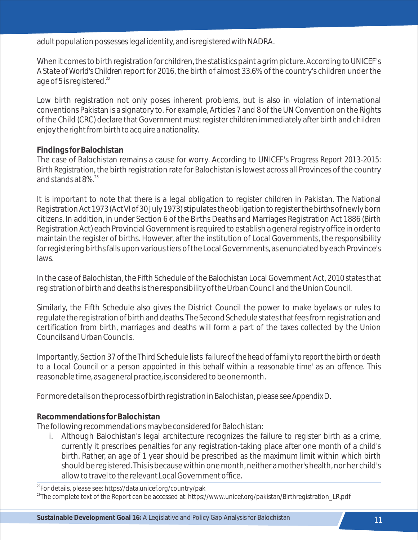adult population possesses legal identity, and is registered with NADRA.

When it comes to birth registration for children, the statistics paint a grim picture. According to UNICEF's *A State of World's Children* report for 2016, the birth of almost 33.6% of the country's children under the age of 5 is registered. $^{22}$ 

Low birth registration not only poses inherent problems, but is also in violation of international conventions Pakistan is a signatory to. For example, Articles 7 and 8 of the UN Convention on the Rights of the Child (CRC) declare that Government must register children immediately after birth and children enjoy the right from birth to acquire a nationality.

#### **Findings for Balochistan**

The case of Balochistan remains a cause for worry. According to UNICEF's *Progress Report 2013-2015: Birth Registration*, the birth registration rate for Balochistan is lowest across all Provinces of the country and stands at  $8\%$ .  $^{23}$ 

It is important to note that there is a legal obligation to register children in Pakistan. The National Registration Act 1973 (Act VI of 30 July 1973) stipulates the obligation to register the births of newly born citizens. In addition, in under Section 6 of the Births Deaths and Marriages Registration Act 1886 (Birth Registration Act) each Provincial Government is required to establish a general registry office in order to maintain the register of births. However, after the institution of Local Governments, the responsibility for registering births falls upon various tiers of the Local Governments, as enunciated by each Province's laws.

In the case of Balochistan, the Fifth Schedule of the Balochistan Local Government Act, 2010 states that registration of birth and deaths is the responsibility of the Urban Council and the Union Council.

Similarly, the Fifth Schedule also gives the District Council the power to make byelaws or rules to regulate the registration of birth and deaths. The Second Schedule states that fees from registration and certification from birth, marriages and deaths will form a part of the taxes collected by the Union Councils and Urban Councils.

Importantly, Section 37 of the Third Schedule lists '*failure of the head of family to report the birth or death to a Local Council or a person appointed in this behalf within a reasonable time*' as an offence. This reasonable time, as a general practice, is considered to be one month.

For more details on the process of birth registration in Balochistan, please see *Appendix D*.

#### **Recommendations for Balochistan**

The following recommendations may be considered for Balochistan:

i. Although Balochistan's legal architecture recognizes the failure to register birth as a crime, currently it prescribes penalties for any registration-taking place after one month of a child's birth. Rather, an age of 1 year should be prescribed as the maximum limit within which birth should be registered. This is because within one month, neither a mother's health, nor her child's allow to travel to the relevant Local Government office.

<sup>22</sup>For details, please see: https://data.unicef.org/country/pak

<sup>&</sup>lt;sup>23</sup>The complete text of the Report can be accessed at: https://www.unicef.org/pakistan/Birthregistration\_LR.pdf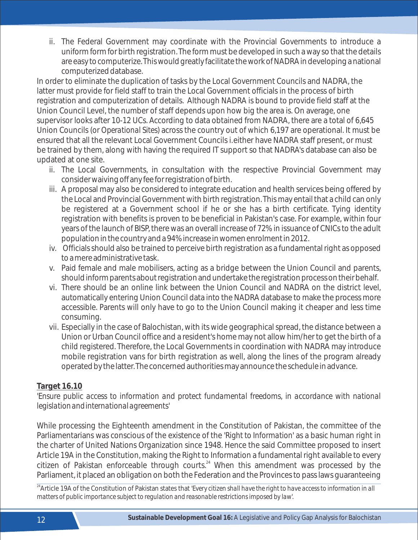ii. The Federal Government may coordinate with the Provincial Governments to introduce a uniform form for birth registration. The form must be developed in such a way so that the details are easy to computerize. This would greatly facilitate the work of NADRA in developing a national computerized database.

In order to eliminate the duplication of tasks by the Local Government Councils and NADRA, the latter must provide for field staff to train the Local Government officials in the process of birth registration and computerization of details. Although NADRA is bound to provide field staff at the Union Council Level, the number of staff depends upon how big the area is. On average, one supervisor looks after 10-12 UCs. According to data obtained from NADRA, there are a total of 6,645 Union Councils (or *Operational Sites*) across the country out of which 6,197 are operational. It must be ensured that all the relevant Local Government Councils i.either have NADRA staff present, or must be trained by them, along with having the required IT support so that NADRA's database can also be updated at one site.

- ii. The Local Governments, in consultation with the respective Provincial Government may consider waiving off any fee for registration of birth.
- iii. A proposal may also be considered to integrate education and health services being offered by the Local and Provincial Government with birth registration. This may entail that a child can only be registered at a Government school if he or she has a birth certificate. Tying identity registration with benefits is proven to be beneficial in Pakistan's case. For example, within four years of the launch of BISP, there was an overall increase of 72% in issuance of CNICs to the adult population in the country and a 94% increase in women enrolment in 2012.
- iv. Officials should also be trained to perceive birth registration as a fundamental right as opposed to a mere administrative task.
- v. Paid female and male mobilisers, acting as a bridge between the Union Council and parents, should inform parents about registration and undertake the registration process on their behalf.
- vi. There should be an online link between the Union Council and NADRA on the district level, automatically entering Union Council data into the NADRA database to make the process more accessible. Parents will only have to go to the Union Council making it cheaper and less time consuming.
- vii. Especially in the case of Balochistan, with its wide geographical spread, the distance between a Union or Urban Council office and a resident's home may not allow him/her to get the birth of a child registered. Therefore, the Local Governments in coordination with NADRA may introduce mobile registration vans for birth registration as well, along the lines of the program already operated by the latter. The concerned authorities may announce the schedule in advance.

#### **Target 16.10**

'*Ensure public access to information and protect fundamental freedoms, in accordance with national legislation and international agreements*'

While processing the Eighteenth amendment in the Constitution of Pakistan, the committee of the Parliamentarians was conscious of the existence of the '*Right to Information*' as a basic human right in the charter of United Nations Organization since 1948. Hence the said Committee proposed to insert Article 19A in the Constitution, making the Right to Information a fundamental right available to every citizen of Pakistan enforceable through courts.<sup>24</sup> When this amendment was processed by the Parliament, it placed an obligation on both the Federation and the Provinces to pass laws guaranteeing

<sup>24</sup>Article 19A of the Constitution of Pakistan states that '*Every citizen shall have the right to have access to information in all matters of public importance subject to regulation and reasonable restrictions imposed by law*'.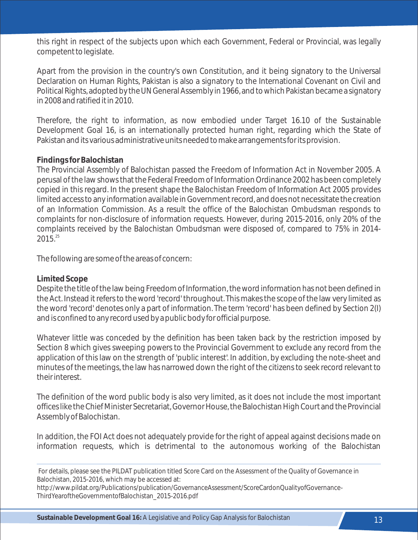this right in respect of the subjects upon which each Government, Federal or Provincial, was legally competent to legislate.

Apart from the provision in the country's own Constitution, and it being signatory to the Universal Declaration on Human Rights, Pakistan is also a signatory to the International Covenant on Civil and Political Rights, adopted by the UN General Assembly in 1966, and to which Pakistan became a signatory in 2008 and ratified it in 2010.

Therefore, the right to information, as now embodied under Target 16.10 of the Sustainable Development Goal 16, is an internationally protected human right, regarding which the State of Pakistan and its various administrative units needed to make arrangements for its provision.

#### **Findings for Balochistan**

The Provincial Assembly of Balochistan passed the Freedom of Information Act in November 2005. A perusal of the law shows that the Federal Freedom of Information Ordinance 2002 has been completely copied in this regard. In the present shape the Balochistan Freedom of Information Act 2005 provides limited access to any information available in Government record, and does not necessitate the creation of an Information Commission. As a result the office of the Balochistan Ombudsman responds to complaints for non-disclosure of information requests. However, during 2015-2016, only 20% of the complaints received by the Balochistan Ombudsman were disposed of, compared to 75% in 2014-  $2015.<sup>25</sup>$ 

The following are some of the areas of concern:

#### **Limited Scope**

Despite the title of the law being Freedom of Information, the word information has not been defined in the Act. Instead it refers to the word 'record' throughout. This makes the scope of the law very limited as the word 'record' denotes only a part of information. The term 'record' has been defined by Section 2(I) and is confined to any record used by a public body for official purpose.

Whatever little was conceded by the definition has been taken back by the restriction imposed by Section 8 which gives sweeping powers to the Provincial Government to exclude any record from the application of this law on the strength of 'public interest'. In addition, by excluding the note-sheet and minutes of the meetings, the law has narrowed down the right of the citizens to seek record relevant to their interest.

The definition of the word public body is also very limited, as it does not include the most important offices like the Chief Minister Secretariat, Governor House, the Balochistan High Court and the Provincial Assembly of Balochistan.

In addition, the FOI Act does not adequately provide for the right of appeal against decisions made on information requests, which is detrimental to the autonomous working of the Balochistan

http://www.pildat.org/Publications/publication/GovernanceAssessment/ScoreCardonQualityofGovernance-ThirdYearoftheGovernmentofBalochistan\_2015-2016.pdf

13 **Sustainable Development Goal 16:** A Legislative and Policy Gap Analysis for Balochistan

For details, please see the PILDAT publication titled Score Card on the Assessment of the Quality of Governance in Balochistan, 2015-2016, which may be accessed at: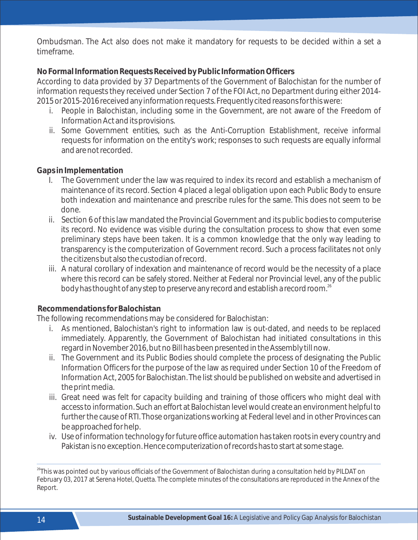Ombudsman. The Act also does not make it mandatory for requests to be decided within a set a timeframe.

#### **No Formal Information Requests Received by Public Information Officers**

According to data provided by 37 Departments of the Government of Balochistan for the number of information requests they received under Section 7 of the FOI Act, no Department during either 2014- 2015 or 2015-2016 received any information requests. Frequently cited reasons for this were:

- i. People in Balochistan, including some in the Government, are not aware of the Freedom of Information Act and its provisions.
- ii. Some Government entities, such as the Anti-Corruption Establishment, receive informal requests for information on the entity's work; responses to such requests are equally informal and are not recorded.

#### **Gaps in Implementation**

- I. The Government under the law was required to index its record and establish a mechanism of maintenance of its record. Section 4 placed a legal obligation upon each Public Body to ensure both indexation and maintenance and prescribe rules for the same. This does not seem to be done.
- ii. Section 6 of this law mandated the Provincial Government and its public bodies to computerise its record. No evidence was visible during the consultation process to show that even some preliminary steps have been taken. It is a common knowledge that the only way leading to transparency is the computerization of Government record. Such a process facilitates not only the citizens but also the custodian of record.
- iii. A natural corollary of indexation and maintenance of record would be the necessity of a place where this record can be safely stored. Neither at Federal nor Provincial level, any of the public body has thought of any step to preserve any record and establish a record room. $^{26}$

#### **Recommendations for Balochistan**

The following recommendations may be considered for Balochistan:

- i. As mentioned, Balochistan's right to information law is out-dated, and needs to be replaced immediately. Apparently, the Government of Balochistan had initiated consultations in this regard in November 2016, but no Bill has been presented in the Assembly till now.
- ii. The Government and its Public Bodies should complete the process of designating the Public Information Officers for the purpose of the law as required under Section 10 of the Freedom of Information Act, 2005 for Balochistan. The list should be published on website and advertised in the print media.
- iii. Great need was felt for capacity building and training of those officers who might deal with access to information. Such an effort at Balochistan level would create an environment helpful to further the cause of RTI. Those organizations working at Federal level and in other Provinces can be approached for help.
- iv. Use of information technology for future office automation has taken roots in every country and Pakistan is no exception. Hence computerization of records has to start at some stage.

<sup>&</sup>lt;sup>26</sup>This was pointed out by various officials of the Government of Balochistan during a consultation held by PILDAT on February 03, 2017 at Serena Hotel, Quetta. The complete minutes of the consultations are reproduced in the Annex of the Report.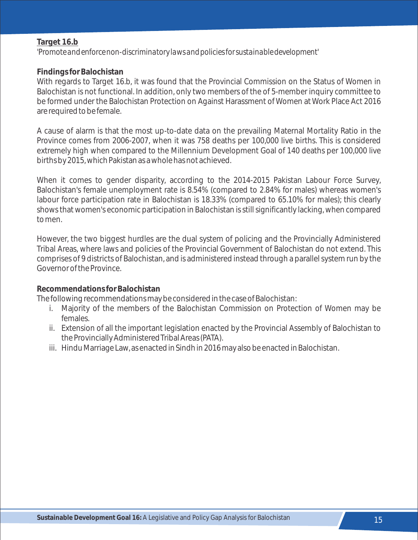#### **Target 16.b** '*Promote and enforce non-discriminatory laws and policies for sustainable development'*

#### **Findings for Balochistan**

With regards to Target 16.b, it was found that the Provincial Commission on the Status of Women in Balochistan is not functional. In addition, only two members of the of 5-member inquiry committee to be formed under the Balochistan Protection on Against Harassment of Women at Work Place Act 2016 are required to be female.

A cause of alarm is that the most up-to-date data on the prevailing Maternal Mortality Ratio in the Province comes from 2006-2007, when it was 758 deaths per 100,000 live births. This is considered extremely high when compared to the Millennium Development Goal of 140 deaths per 100,000 live births by 2015, which Pakistan as a whole has not achieved.

When it comes to gender disparity, according to the 2014-2015 Pakistan Labour Force Survey, Balochistan's female unemployment rate is 8.54% (compared to 2.84% for males) whereas women's labour force participation rate in Balochistan is 18.33% (compared to 65.10% for males); this clearly shows that women's economic participation in Balochistan is still significantly lacking, when compared to men.

However, the two biggest hurdles are the dual system of policing and the Provincially Administered Tribal Areas, where laws and policies of the Provincial Government of Balochistan do not extend. This comprises of 9 districts of Balochistan, and is administered instead through a parallel system run by the Governor of the Province.

#### **Recommendations for Balochistan**

The following recommendations may be considered in the case of Balochistan:

- i. Majority of the members of the Balochistan Commission on Protection of Women may be females.
- ii. Extension of all the important legislation enacted by the Provincial Assembly of Balochistan to the Provincially Administered Tribal Areas (PATA).
- iii. Hindu Marriage Law, as enacted in Sindh in 2016 may also be enacted in Balochistan.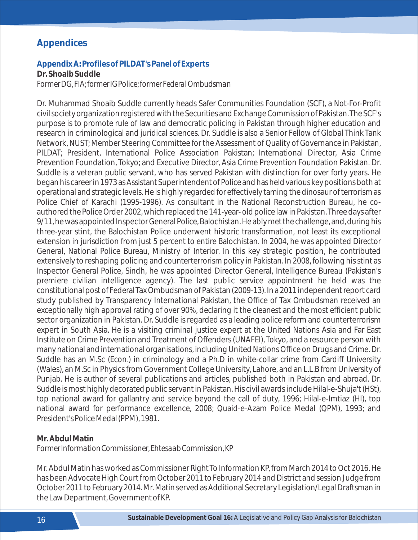## **Appendices**

#### **Appendix A: Profiles of PILDAT's Panel of Experts**

**Dr. Shoaib Suddle** *Former DG, FIA; former IG Police; former Federal Ombudsman*

Dr. Muhammad Shoaib Suddle currently heads Safer Communities Foundation (SCF), a Not-For-Profit civil society organization registered with the Securities and Exchange Commission of Pakistan. The SCF's purpose is to promote rule of law and democratic policing in Pakistan through higher education and research in criminological and juridical sciences. Dr. Suddle is also a Senior Fellow of Global Think Tank Network, NUST; Member Steering Committee for the Assessment of Quality of Governance in Pakistan, PILDAT; President, International Police Association Pakistan; International Director, Asia Crime Prevention Foundation, Tokyo; and Executive Director, Asia Crime Prevention Foundation Pakistan. Dr. Suddle is a veteran public servant, who has served Pakistan with distinction for over forty years. He began his career in 1973 as Assistant Superintendent of Police and has held various key positions both at operational and strategic levels. He is highly regarded for effectively taming the dinosaur of terrorism as Police Chief of Karachi (1995-1996). As consultant in the National Reconstruction Bureau, he coauthored the Police Order 2002, which replaced the 141-year- old police law in Pakistan. Three days after 9/11, he was appointed Inspector General Police, Balochistan. He ably met the challenge, and, during his three-year stint, the Balochistan Police underwent historic transformation, not least its exceptional extension in jurisdiction from just 5 percent to entire Balochistan. In 2004, he was appointed Director General, National Police Bureau, Ministry of Interior. In this key strategic position, he contributed extensively to reshaping policing and counterterrorism policy in Pakistan. In 2008, following his stint as Inspector General Police, Sindh, he was appointed Director General, Intelligence Bureau (Pakistan's premiere civilian intelligence agency). The last public service appointment he held was the constitutional post of Federal Tax Ombudsman of Pakistan (2009-13). In a 2011 independent report card study published by Transparency International Pakistan, the Office of Tax Ombudsman received an exceptionally high approval rating of over 90%, declaring it the cleanest and the most efficient public sector organization in Pakistan. Dr. Suddle is regarded as a leading police reform and counterterrorism expert in South Asia. He is a visiting criminal justice expert at the United Nations Asia and Far East Institute on Crime Prevention and Treatment of Offenders (UNAFEI), Tokyo, and a resource person with many national and international organisations, including United Nations Office on Drugs and Crime. Dr. Suddle has an M.Sc (Econ.) in criminology and a Ph.D in white-collar crime from Cardiff University (Wales), an M.Sc in Physics from Government College University, Lahore, and an L.L.B from University of Punjab. He is author of several publications and articles, published both in Pakistan and abroad. Dr. Suddle is most highly decorated public servant in Pakistan. His civil awards include Hilal-e-Shuja't (HSt), top national award for gallantry and service beyond the call of duty, 1996; Hilal-e-Imtiaz (HI), top national award for performance excellence, 2008; Quaid-e-Azam Police Medal (QPM), 1993; and President's Police Medal (PPM), 1981.

#### **Mr. Abdul Matin**

*Former Information Commissioner, Ehtesaab Commission, KP*

Mr. Abdul Matin has worked as Commissioner Right To Information KP, from March 2014 to Oct 2016. He has been Advocate High Court from October 2011 to February 2014 and District and session Judge from October 2011 to February 2014. Mr. Matin served as Additional Secretary Legislation/Legal Draftsman in the Law Department, Government of KP.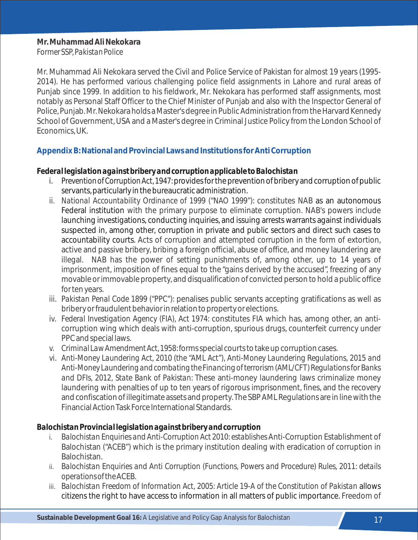#### **Mr. Muhammad Ali Nekokara** *Former SSP, Pakistan Police*

Mr. Muhammad Ali Nekokara served the Civil and Police Service of Pakistan for almost 19 years (1995- 2014). He has performed various challenging police field assignments in Lahore and rural areas of Punjab since 1999. In addition to his fieldwork, Mr. Nekokara has performed staff assignments, most notably as Personal Staff Officer to the Chief Minister of Punjab and also with the Inspector General of Police, Punjab. Mr. Nekokara holds a Master's degree in Public Administration from the Harvard Kennedy School of Government, USA and a Master's degree in Criminal Justice Policy from the London School of Economics, UK.

#### **Appendix B: National and Provincial Laws and Institutions for Anti Corruption**

#### *Federal legislation against bribery and corruption applicable to Balochistan*

- i. Prevention of Corruption Act, 1947: provides for the prevention of bribery and corruption of public servants, particularly in the bureaucratic administration.
- *ii. National Accountability Ordinance of 1999 ("NAO 1999")*: constitutes NAB as an autonomous Federal institution with the primary purpose to eliminate corruption. NAB's powers include illegal. NAB has the power of setting punishments of, among other, up to 14 years of imprisonment, imposition of fines equal to the "gains derived by the accused", freezing of any movable or immovable property, and disqualification of convicted person to hold a public office for ten years. launching investigations, conducting inquiries, and issuing arrests warrants against individuals suspected in, among other, corruption in private and public sectors and direct such cases to accountability courts. Acts of corruption and attempted corruption in the form of extortion, active and passive bribery, bribing a foreign official, abuse of office, and money laundering are
- *iii. Pakistan Penal Code 1899 ("PPC"):* penalises public servants accepting gratifications as well as bribery or fraudulent behavior in relation to property or elections.
- *iv. Federal Investigation Agency (FIA), Act 1974:* constitutes FIA which has, among other, an anticorruption wing which deals with anti-corruption, spurious drugs, counterfeit currency under PPC and special laws.
- *v. Criminal Law Amendment Act, 1958*: forms special courts to take up corruption cases.
- *vi. Anti-Money Laundering Act, 2010 (the "AML Act"), Anti-Money Laundering Regulations, 2015 and Anti-Money Laundering and combating the Financing of terrorism (AML/CFT) Regulations for Banks and DFIs, 2012, State Bank of Pakistan*: These anti-money laundering laws criminalize money and confiscation of illegitimate assets and property. The SBP AML Regulations are in line with the Financial Action Task Force International Standards. laundering with penalties of up to ten years of rigorous imprisonment, fines, and the recovery

#### *Balochistan Provincial legislation against bribery and corruption*

- *i. Balochistan Enquiries and Anti-Corruption Act 2010: establishes* Anti-Corruption Establishment of Balochistan ("ACEB") which is the primary institution dealing with eradication of corruption in Balochistan.
- *ii. Balochistan Enquiries and Anti Corruption (Functions, Powers and Procedure) Rules, 2011: details operations of the* ACEB.
- iii. Balochistan Freedom of Information Act, 2005: Article 19-A of the Constitution of Pakistan allows citizens the right to have access to information in all matters of public importance. Freedom of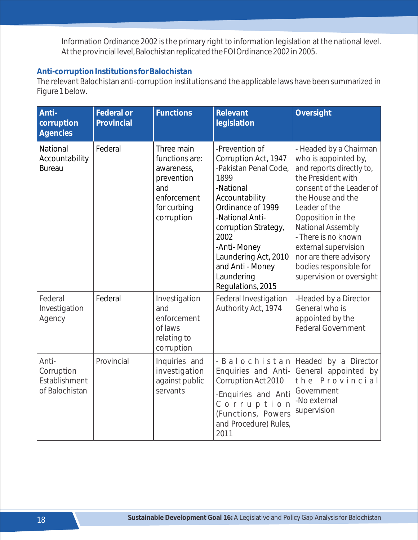Information Ordinance 2002 is the primary right to information legislation at the national level. At the provincial level, Balochistan replicated the FOI Ordinance 2002 in 2005.

#### **Anti-corruption Institutions for Balochistan**

The relevant Balochistan anti-corruption institutions and the applicable laws have been summarized in Figure 1 below.

| Anti-<br>corruption<br><b>Agencies</b>                 | <b>Federal or</b><br>Provincial | <b>Functions</b>                                                                                            | Relevant<br>legislation                                                                                                                                                                                                                                                      | Oversight                                                                                                                                                                                                                                                                                                                                   |
|--------------------------------------------------------|---------------------------------|-------------------------------------------------------------------------------------------------------------|------------------------------------------------------------------------------------------------------------------------------------------------------------------------------------------------------------------------------------------------------------------------------|---------------------------------------------------------------------------------------------------------------------------------------------------------------------------------------------------------------------------------------------------------------------------------------------------------------------------------------------|
| National<br>Accountability<br><b>Bureau</b>            | Federal                         | Three main<br>functions are:<br>awareness,<br>prevention<br>and<br>enforcement<br>for curbing<br>corruption | -Prevention of<br>Corruption Act, 1947<br>-Pakistan Penal Code,<br>1899<br>-National<br>Accountability<br>Ordinance of 1999<br>-National Anti-<br>corruption Strategy,<br>2002<br>-Anti-Money<br>Laundering Act, 2010<br>and Anti - Money<br>Laundering<br>Regulations, 2015 | - Headed by a Chairman<br>who is appointed by,<br>and reports directly to,<br>the President with<br>consent of the Leader of<br>the House and the<br>Leader of the<br>Opposition in the<br>National Assembly<br>- There is no known<br>external supervision<br>nor are there advisory<br>bodies responsible for<br>supervision or oversight |
| Federal<br>Investigation<br>Agency                     | Federal                         | Investigation<br>and<br>enforcement<br>of laws<br>relating to<br>corruption                                 | <b>Federal Investigation</b><br>Authority Act, 1974                                                                                                                                                                                                                          | -Headed by a Director<br>General who is<br>appointed by the<br><b>Federal Government</b>                                                                                                                                                                                                                                                    |
| Anti-<br>Corruption<br>Establishment<br>of Balochistan | Provincial                      | Inquiries and<br>investigation<br>against public<br>servants                                                | - Balochistan<br>Enquiries and Anti-<br>Corruption Act 2010<br>-Enquiries and Anti<br>Corruption<br>(Functions, Powers<br>and Procedure) Rules,<br>2011                                                                                                                      | Headed by a Director<br>General appointed by<br>the Provincial<br>Government<br>-No external<br>supervision                                                                                                                                                                                                                                 |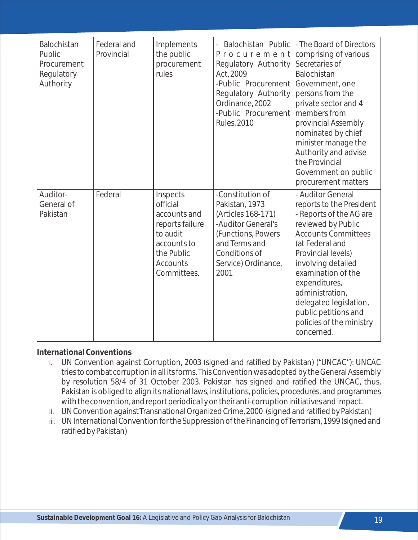| Balochistan<br>Public<br>Procurement<br>Regulatory<br>Authority | Federal and<br>Provincial | Implements<br>the public<br>procurement<br>rules                                                                                   | Balochistan Public<br>$\overline{a}$<br>Procurement<br>Regulatory Authority<br>Act, 2009<br>-Public Procurement<br>Regulatory Authority<br>Ordinance, 2002<br>-Public Procurement<br><b>Rules, 2010</b> | - The Board of Directors<br>comprising of various<br>Secretaries of<br><b>Balochistan</b><br>Government, one<br>persons from the<br>private sector and 4<br>members from<br>provincial Assembly<br>nominated by chief<br>minister manage the<br>Authority and advise<br>the Provincial<br>Government on public<br>procurement matters             |
|-----------------------------------------------------------------|---------------------------|------------------------------------------------------------------------------------------------------------------------------------|---------------------------------------------------------------------------------------------------------------------------------------------------------------------------------------------------------|---------------------------------------------------------------------------------------------------------------------------------------------------------------------------------------------------------------------------------------------------------------------------------------------------------------------------------------------------|
| Auditor-<br>General of<br>Pakistan                              | Federal                   | Inspects<br>official<br>accounts and<br>reports failure<br>to audit<br>accounts to<br>the Public<br><b>Accounts</b><br>Committees. | -Constitution of<br>Pakistan, 1973<br>(Articles 168-171)<br>-Auditor General's<br>(Functions, Powers<br>and Terms and<br>Conditions of<br>Service) Ordinance,<br>2001                                   | - Auditor General<br>reports to the President<br>- Reports of the AG are<br>reviewed by Public<br><b>Accounts Committees</b><br>(at Federal and<br>Provincial levels)<br>involving detailed<br>examination of the<br>expenditures,<br>administration,<br>delegated legislation,<br>public petitions and<br>policies of the ministry<br>concerned. |

#### **International Conventions**

- i. UN Convention against Corruption, 2003 (signed and ratified by Pakistan) ("UNCAC"): UNCAC tries to combat corruption in all its forms. This Convention was adopted by the General Assembly by resolution 58/4 of 31 October 2003. Pakistan has signed and ratified the UNCAC, thus, Pakistan is obliged to align its national laws, institutions, policies, procedures, and programmes with the convention, and report periodically on their anti-corruption initiatives and impact.
- ii. UN Convention against Transnational Organized Crime, 2000 (signed and ratified by Pakistan)
- iii. UN International Convention for the Suppression of the Financing of Terrorism, 1999 (signed and ratified by Pakistan)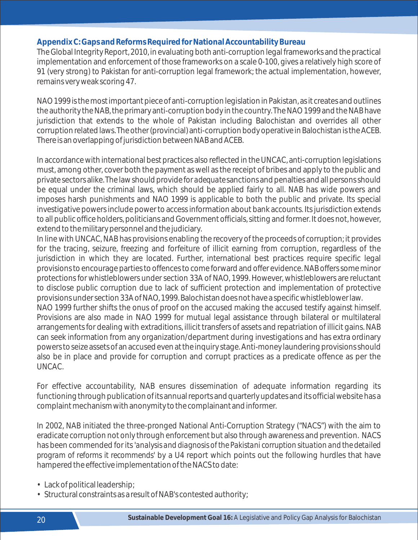#### **Appendix C: Gaps and Reforms Required for National Accountability Bureau**

The Global Integrity Report, 2010, in evaluating both anti-corruption legal frameworks and the practical implementation and enforcement of those frameworks on a scale 0-100, gives a relatively high score of 91 (very strong) to Pakistan for anti-corruption legal framework; the actual implementation, however, remains very weak scoring 47.

NAO 1999 is the most important piece of anti-corruption legislation in Pakistan, as it creates and outlines the authority the NAB, the primary anti-corruption body in the country. The NAO 1999 and the NAB have jurisdiction that extends to the whole of Pakistan including Balochistan and overrides all other corruption related laws. The other (provincial) anti-corruption body operative in Balochistan is the ACEB. There is an overlapping of jurisdiction between NAB and ACEB.

In accordance with international best practices also reflected in the UNCAC, anti-corruption legislations must, among other, cover both the payment as well as the receipt of bribes and apply to the public and private sectors alike. The law should provide for *adequate* sanctions and penalties and all persons should be equal under the criminal laws, which should be applied fairly to all. NAB has wide powers and imposes harsh punishments and NAO 1999 is applicable to both the public and private. Its special investigative powers include power to access information about bank accounts Its jurisdiction extends . to all public office holders, politicians and Government officials, sitting and former. It does not, however, extend to the military personnel and the judiciary.

In line with UNCAC, NAB has provisions enabling the recovery of the proceeds of corruption; it provides for the tracing, seizure, freezing and forfeiture of illicit earning from corruption, regardless of the jurisdiction in which they are located. Further, international best practices require specific legal provisions to encourage parties to offences to come forward and offer evidence. NAB offers some minor protections for whistleblowers under section 33A of NAO, 1999. However, whistleblowers are reluctant to disclose public corruption due to lack of sufficient protection and implementation of protective provisions under section 33A of NAO, 1999. Balochistan does not have a specific whistleblower law.

NAO 1999 further shifts the onus of proof on the accused making the accused testify against himself. Provisions are also made in NAO 1999 for mutual legal assistance through bilateral or multilateral arrangements for dealing with extraditions, illicit transfers of assets and repatriation of illicit gains. NAB can seek information from any organization/department during investigations and has extra ordinary powers to seize assets of an accused even at the inquiry stage. Anti-money laundering provisions should also be in place and provide for corruption and corrupt practices as a predicate offence as per the UNCAC.

For effective accountability, NAB ensures dissemination of adequate information regarding its functioning through publication of its annual reports and quarterly updates and its official website has a complaint mechanism with anonymity to the complainant and informer.

In 2002, NAB initiated the three-pronged National Anti-Corruption Strategy ("NACS") with the aim to eradicate corruption not only through enforcement but also through awareness and prevention. NACS has been commended for its '*analysis and diagnosis of the Pakistani corruption situation and the detailed program of reforms it recommends*' by a U4 report which points out the following hurdles that have hampered the effective implementation of the NACS to date:

- Lack of political leadership;
- Structural constraints as a result of NAB's contested authority;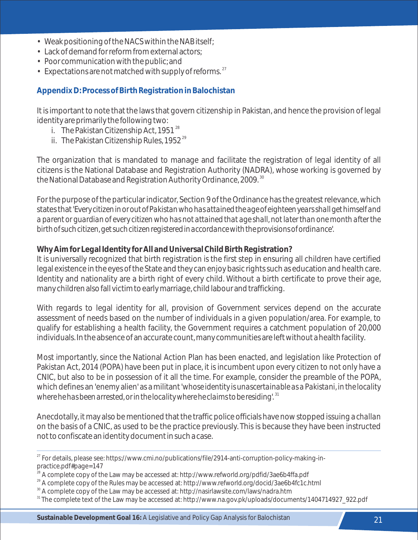- Weak positioning of the NACS within the NAB itself;
- Lack of demand for reform from external actors;
- Poor communication with the public; and
- Expectations are not matched with supply of reforms.  $^{27}$

#### **Appendix D: Process of Birth Registration in Balochistan**

It is important to note that the laws that govern citizenship in Pakistan, and hence the provision of legal identity are primarily the following two:

- i. The Pakistan Citizenship Act,  $1951^{28}$
- ii. The Pakistan Citizenship Rules,  $1952^{29}$

The organization that is mandated to manage and facilitate the registration of legal identity of all citizens is the National Database and Registration Authority (NADRA), whose working is governed by the National Database and Registration Authority Ordinance, 2009.<sup>30</sup>

For the purpose of the particular indicator, Section 9 of the Ordinance has the greatest relevance, which states that '*Every citizen in or out of Pakistan who has attained the age of eighteen years shall get himself and a parent or guardian of every citizen who has not attained that age shall, not later than one month after the birth of such citizen, get such citizen registered in accordance with the provisions of ordinance*'.

#### **Why Aim for Legal Identity for All and Universal Child Birth Registration?**

It is universally recognized that birth registration is the first step in ensuring all children have certified legal existence in the eyes of the State and they can enjoy basic rights such as education and health care. Identity and nationality are a birth right of every child. Without a birth certificate to prove their age, many children also fall victim to early marriage, child labour and trafficking.

With regards to legal identity for all, provision of Government services depend on the accurate assessment of needs based on the number of individuals in a given population/area. For example, to qualify for establishing a health facility, the Government requires a catchment population of 20,000 individuals. In the absence of an accurate count, many communities are left without a health facility.

Most importantly, since the National Action Plan has been enacted, and legislation like Protection of Pakistan Act, 2014 (POPA) have been put in place, it is incumbent upon every citizen to not only have a CNIC, but also to be in possession of it all the time. For example, consider the preamble of the POPA, which defines an 'enemy alien' as a militant '*whose identity is unascertainable as a Pakistani, in the locality*  <sup>31</sup> *where he has been arrested, or in the locality where he claims to be residing*'.

Anecdotally, it may also be mentioned that the traffic police officials have now stopped issuing a *challan*  on the basis of a CNIC, as used to be the practice previously. This is because they have been instructed not to confiscate an identity document in such a case.

<sup>&</sup>lt;sup>27</sup> For details, please see: https://www.cmi.no/publications/file/2914-anti-corruption-policy-making-inpractice.pdf#page=147

<sup>28</sup> A complete copy of the Law may be accessed at: http://www.refworld.org/pdfid/3ae6b4ffa.pdf

<sup>&</sup>lt;sup>29</sup> A complete copy of the Rules may be accessed at: http://www.refworld.org/docid/3ae6b4fc1c.html

<sup>&</sup>lt;sup>30</sup> A complete copy of the Law may be accessed at: http://nasirlawsite.com/laws/nadra.htm

<sup>&</sup>lt;sup>31</sup> The complete text of the Law may be accessed at: http://www.na.gov.pk/uploads/documents/1404714927\_922.pdf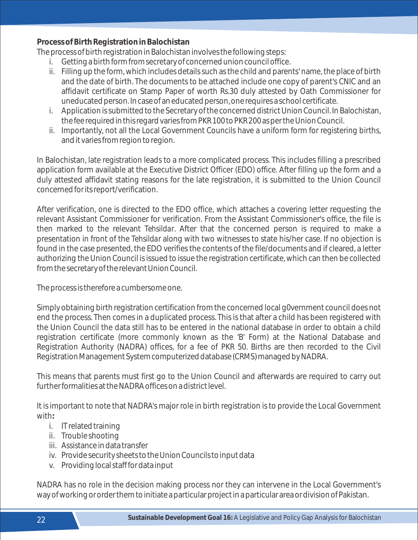**Process of Birth Registration in Balochistan**

The process of birth registration in Balochistan involves the following steps:

- i. Getting a birth form from secretary of concerned union council office.
- ii. Filling up the form, which includes details such as the child and parents' name, the place of birth and the date of birth. The documents to be attached include one copy of parent's CNIC and an affidavit certificate on Stamp Paper of worth Rs.30 duly attested by Oath Commissioner for uneducated person. In case of an educated person, one requires a school certificate.
- i. Application is submitted to the Secretary of the concerned district Union Council. In Balochistan, the fee required in this regard varies from PKR 100 to PKR 200 as per the Union Council.
- ii. Importantly, not all the Local Government Councils have a uniform form for registering births, and it varies from region to region.

In Balochistan, late registration leads to a more complicated process. This includes filling a prescribed application form available at the Executive District Officer (EDO) office. After filling up the form and a duly attested affidavit stating reasons for the late registration, it is submitted to the Union Council concerned for its report/verification.

After verification, one is directed to the EDO office, which attaches a covering letter requesting the relevant Assistant Commissioner for verification. From the Assistant Commissioner's office, the file is then marked to the relevant *Tehsildar*. After that the concerned person is required to make a presentation in front of the *Tehsildar* along with two witnesses to state his/her case. If no objection is found in the case presented, the EDO verifies the contents of the file/documents and if cleared, a letter authorizing the Union Council is issued to issue the registration certificate, which can then be collected from the secretary of the relevant Union Council.

The process is therefore a cumbersome one.

Simply obtaining birth registration certification from the concerned local g0vernment council does not end the process. Then comes in a duplicated process. This is that after a child has been registered with the Union Council the data still has to be entered in the national database in order to obtain a child registration certificate (more commonly known as the 'B' Form) at the National Database and Registration Authority (NADRA) offices, for a fee of PKR 50. Births are then recorded to the Civil Registration Management System computerized database (CRMS) managed by NADRA.

This means that parents must first go to the Union Council and afterwards are required to carry out further formalities at the NADRA offices on a district level.

It is important to note that NADRA's major role in birth registration is to provide the Local Government with**:**

- i. IT related training
- ii. Trouble shooting
- iii. Assistance in data transfer
- iv. Provide security sheets to the Union Councils to input data
- v. Providing local staff for data input

NADRA has no role in the decision making process nor they can intervene in the Local Government's way of working or order them to initiate a particular project in a particular area or division of Pakistan.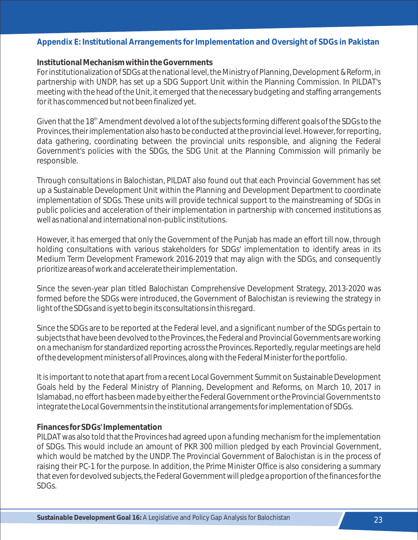#### **Appendix E: Institutional Arrangements for Implementation and Oversight of SDGs in Pakistan**

#### **Institutional Mechanism within the Governments**

For institutionalization of SDGs at the national level, the Ministry of Planning, Development & Reform, in partnership with UNDP, has set up a SDG Support Unit within the Planning Commission. In PILDAT's meeting with the head of the Unit, it emerged that the necessary budgeting and staffing arrangements for it has commenced but not been finalized yet.

Given that the 18<sup>th</sup> Amendment devolved a lot of the subjects forming different goals of the SDGs to the Provinces, their implementation also has to be conducted at the provincial level. However, for reporting, data gathering, coordinating between the provincial units responsible, and aligning the Federal Government's policies with the SDGs, the SDG Unit at the Planning Commission will primarily be responsible.

Through consultations in Balochistan, PILDAT also found out that each Provincial Government has set up a Sustainable Development Unit within the Planning and Development Department to coordinate implementation of SDGs. These units will provide technical support to the mainstreaming of SDGs in public policies and acceleration of their implementation in partnership with concerned institutions as well as national and international non-public institutions.

However, it has emerged that only the Government of the Punjab has made an effort till now, through holding consultations with various stakeholders for SDGs' implementation to identify areas in its Medium Term Development Framework 2016-2019 that may align with the SDGs, and consequently prioritize areas of work and accelerate their implementation.

Since the seven-year plan titled Balochistan Comprehensive Development Strategy, 2013-2020 was formed before the SDGs were introduced, the Government of Balochistan is reviewing the strategy in light of the SDGs and is yet to begin its consultations in this regard.

Since the SDGs are to be reported at the Federal level, and a significant number of the SDGs pertain to subjects that have been devolved to the Provinces, the Federal and Provincial Governments are working on a mechanism for standardized reporting across the Provinces. Reportedly, regular meetings are held of the development ministers of all Provinces, along with the Federal Minister for the portfolio.

It is important to note that apart from a recent Local Government Summit on Sustainable Development Goals held by the Federal Ministry of Planning, Development and Reforms, on March 10, 2017 in Islamabad, no effort has been made by either the Federal Government or the Provincial Governments to integrate the Local Governments in the institutional arrangements for implementation of SDGs.

#### **Finances for SDGs' Implementation**

PILDAT was also told that the Provinces had agreed upon a funding mechanism for the implementation of SDGs. This would include an amount of PKR 300 million pledged by each Provincial Government, which would be matched by the UNDP. The Provincial Government of Balochistan is in the process of raising their PC-1 for the purpose. In addition, the Prime Minister Office is also considering a summary that even for devolved subjects, the Federal Government will pledge a proportion of the finances for the SDGs.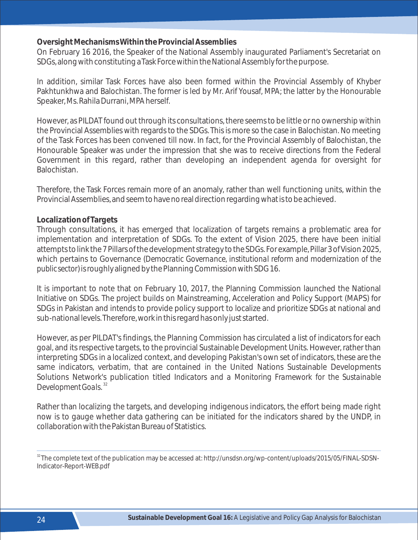**Oversight Mechanisms Within the Provincial Assemblies**

On February 16 2016, the Speaker of the National Assembly inaugurated Parliament's Secretariat on SDGs, along with constituting a Task Force within the National Assembly for the purpose.

In addition, similar Task Forces have also been formed within the Provincial Assembly of Khyber Pakhtunkhwa and Balochistan. The former is led by Mr. Arif Yousaf, MPA; the latter by the Honourable Speaker, Ms. Rahila Durrani, MPA herself.

However, as PILDAT found out through its consultations, there seems to be little or no ownership within the Provincial Assemblies with regards to the SDGs. This is more so the case in Balochistan. No meeting of the Task Forces has been convened till now. In fact, for the Provincial Assembly of Balochistan, the Honourable Speaker was under the impression that she was to receive directions from the Federal Government in this regard, rather than developing an independent agenda for oversight for Balochistan.

Therefore, the Task Forces remain more of an anomaly, rather than well functioning units, within the Provincial Assemblies, and seem to have no real direction regarding what is to be achieved.

#### **Localization of Targets**

Through consultations, it has emerged that localization of targets remains a problematic area for implementation and interpretation of SDGs. To the extent of Vision 2025, there have been initial attempts to link the 7 Pillars of the development strategy to the SDGs. For example, Pillar 3 of Vision 2025, which pertains to Governance (*Democratic Governance, institutional reform and modernization of the public sector*) is roughly aligned by the Planning Commission with SDG 16.

It is important to note that on February 10, 2017, the Planning Commission launched the National Initiative on SDGs. The project builds on Mainstreaming, Acceleration and Policy Support (MAPS) for SDGs in Pakistan and intends to provide policy support to localize and prioritize SDGs at national and sub-national levels. Therefore, work in this regard has only just started.

However, as per PILDAT's findings, the Planning Commission has circulated a list of indicators for each goal, and its respective targets, to the provincial Sustainable Development Units. However, rather than interpreting SDGs in a localized context, and developing Pakistan's own set of indicators, these are the same indicators, verbatim, that are contained in the United Nations Sustainable Developments Solutions Network's publication titled *Indicators and a Monitoring Framework for the Sustainable*  <sup>32</sup> *Development Goals*.

Rather than localizing the targets, and developing indigenous indicators, the effort being made right now is to gauge whether data gathering can be initiated for the indicators shared by the UNDP, in collaboration with the Pakistan Bureau of Statistics.

<sup>&</sup>lt;sup>32</sup>The complete text of the publication may be accessed at: http://unsdsn.org/wp-content/uploads/2015/05/FINAL-SDSN-Indicator-Report-WEB.pdf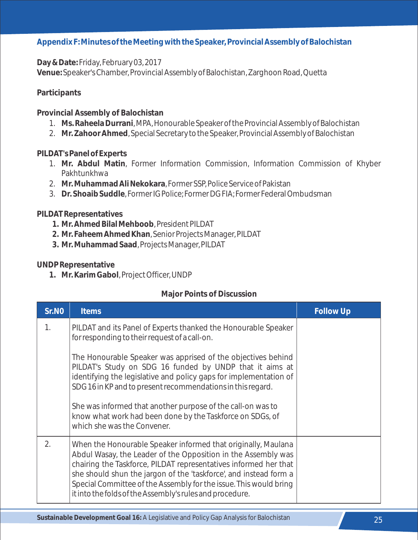**Appendix F: Minutes of the Meeting with the Speaker, Provincial Assembly of Balochistan**

**Day & Date:** Friday, February 03, 2017

**Venue:** Speaker's Chamber, Provincial Assembly of Balochistan, Zarghoon Road, Quetta

## **Participants**

**Provincial Assembly of Balochistan**

- 1. **Ms. Raheela Durrani**, MPA, Honourable Speaker of the Provincial Assembly of Balochistan
- 2. **Mr. Zahoor Ahmed**, Special Secretary to the Speaker, Provincial Assembly of Balochistan

#### **PILDAT's Panel of Experts**

- 1. **Mr. Abdul Matin**, Former Information Commission, Information Commission of Khyber Pakhtunkhwa
- 2. **Mr. Muhammad Ali Nekokara**, Former SSP, Police Service of Pakistan
- 3. **Dr. Shoaib Suddle**, Former IG Police; Former DG FIA; Former Federal Ombudsman

#### **PILDAT Representatives**

- **1. Mr. Ahmed Bilal Mehboob**, President PILDAT
- **2. Mr. Faheem Ahmed Khan**, Senior Projects Manager, PILDAT
- **3. Mr. Muhammad Saad**, Projects Manager, PILDAT

#### **UNDP Representative**

**1. Mr. Karim Gabol**, Project Officer, UNDP

## **Major Points of Discussion**

| Sr.NO | <b>Items</b>                                                                                                                                                                                                                                                                                                                                                                                                           | <b>Follow Up</b> |
|-------|------------------------------------------------------------------------------------------------------------------------------------------------------------------------------------------------------------------------------------------------------------------------------------------------------------------------------------------------------------------------------------------------------------------------|------------------|
| 1.    | PILDAT and its Panel of Experts thanked the Honourable Speaker<br>for responding to their request of a call-on.                                                                                                                                                                                                                                                                                                        |                  |
|       | The Honourable Speaker was apprised of the objectives behind<br>PILDAT's Study on SDG 16 funded by UNDP that it aims at<br>identifying the legislative and policy gaps for implementation of<br>SDG 16 in KP and to present recommendations in this regard.<br>She was informed that another purpose of the call-on was to<br>know what work had been done by the Taskforce on SDGs, of<br>which she was the Convener. |                  |
| 2.    | When the Honourable Speaker informed that originally, Maulana<br>Abdul Wasay, the Leader of the Opposition in the Assembly was<br>chairing the Taskforce, PILDAT representatives informed her that<br>she should shun the jargon of the 'taskforce', and instead form a<br>Special Committee of the Assembly for the issue. This would bring<br>it into the folds of the Assembly's rules and procedure.               |                  |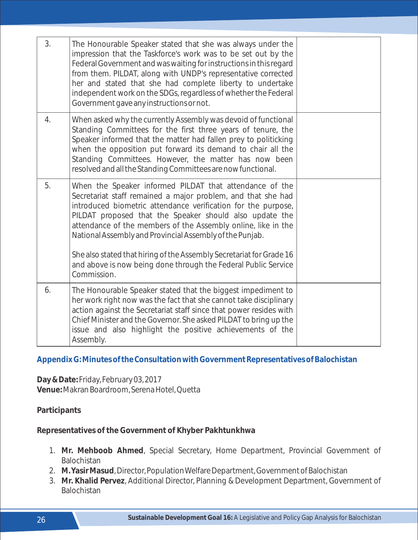| 3. | The Honourable Speaker stated that she was always under the<br>impression that the Taskforce's work was to be set out by the<br>Federal Government and was waiting for instructions in this regard<br>from them. PILDAT, along with UNDP's representative corrected<br>her and stated that she had complete liberty to undertake<br>independent work on the SDGs, regardless of whether the Federal<br>Government gave any instructions or not.                                                                                           |  |
|----|-------------------------------------------------------------------------------------------------------------------------------------------------------------------------------------------------------------------------------------------------------------------------------------------------------------------------------------------------------------------------------------------------------------------------------------------------------------------------------------------------------------------------------------------|--|
| 4. | When asked why the currently Assembly was devoid of functional<br>Standing Committees for the first three years of tenure, the<br>Speaker informed that the matter had fallen prey to politicking<br>when the opposition put forward its demand to chair all the<br>Standing Committees. However, the matter has now been<br>resolved and all the Standing Committees are now functional.                                                                                                                                                 |  |
| 5. | When the Speaker informed PILDAT that attendance of the<br>Secretariat staff remained a major problem, and that she had<br>introduced biometric attendance verification for the purpose,<br>PILDAT proposed that the Speaker should also update the<br>attendance of the members of the Assembly online, like in the<br>National Assembly and Provincial Assembly of the Punjab.<br>She also stated that hiring of the Assembly Secretariat for Grade 16<br>and above is now being done through the Federal Public Service<br>Commission. |  |
| 6. | The Honourable Speaker stated that the biggest impediment to<br>her work right now was the fact that she cannot take disciplinary<br>action against the Secretariat staff since that power resides with<br>Chief Minister and the Governor. She asked PILDAT to bring up the<br>issue and also highlight the positive achievements of the<br>Assembly.                                                                                                                                                                                    |  |

**Appendix G: Minutes of the Consultation with Government Representatives of Balochistan**

**Day & Date:** Friday, February 03, 2017 **Venue:** Makran Boardroom, Serena Hotel, Quetta

**Participants**

**Representatives of the Government of Khyber Pakhtunkhwa**

- 1. **Mr. Mehboob Ahmed**, Special Secretary, Home Department, Provincial Government of Balochistan
- 2. **M. Yasir Masud**, Director, Population Welfare Department, Government of Balochistan
- 3. **Mr. Khalid Pervez**, Additional Director, Planning & Development Department, Government of Balochistan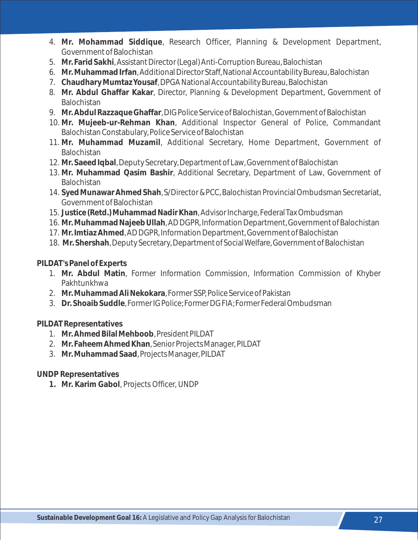- 4. **Mr. Mohammad Siddique**, Research Officer, Planning & Development Department, Government of Balochistan
- 5. **Mr. Farid Sakhi**, Assistant Director (Legal) Anti-Corruption Bureau, Balochistan
- 6. **Mr. Muhammad Irfan**, Additional Director Staff, National Accountability Bureau, Balochistan
- 7. **Chaudhary Mumtaz Yousaf**, DPGA National Accountability Bureau, Balochistan
- 8. **Mr. Abdul Ghaffar Kakar**, Director, Planning & Development Department, Government of Balochistan
- 9. **Mr. Abdul Razzaque Ghaffar**, DIG Police Service of Balochistan, Government of Balochistan
- 10. **Mr. Mujeeb-ur-Rehman Khan**, Additional Inspector General of Police, Commandant Balochistan Constabulary, Police Service of Balochistan
- 11. **Mr. Muhammad Muzamil**, Additional Secretary, Home Department, Government of Balochistan
- 12. **Mr. Saeed Iqbal**, Deputy Secretary, Department of Law, Government of Balochistan
- 13. **Mr. Muhammad Qasim Bashir**, Additional Secretary, Department of Law, Government of Balochistan
- 14. **Syed Munawar Ahmed Shah**, S/Director & PCC, Balochistan Provincial Ombudsman Secretariat, Government of Balochistan
- 15. **Justice (Retd.) Muhammad Nadir Khan**, Advisor Incharge, Federal Tax Ombudsman
- 16. **Mr. Muhammad Najeeb Ullah**, AD DGPR, Information Department, Government of Balochistan
- 17. **Mr. Imtiaz Ahmed**, AD DGPR, Information Department, Government of Balochistan
- 18. **Mr. Shershah**, Deputy Secretary, Department of Social Welfare, Government of Balochistan

#### **PILDAT's Panel of Experts**

- 1. **Mr. Abdul Matin**, Former Information Commission, Information Commission of Khyber Pakhtunkhwa
- 2. **Mr. Muhammad Ali Nekokara**, Former SSP, Police Service of Pakistan
- 3. **Dr. Shoaib Suddle**, Former IG Police; Former DG FIA; Former Federal Ombudsman

## **PILDAT Representatives**

- 1. **Mr. Ahmed Bilal Mehboob**, President PILDAT
- 2. **Mr. Faheem Ahmed Khan**, Senior Projects Manager, PILDAT
- 3. **Mr. Muhammad Saad**, Projects Manager, PILDAT

**UNDP Representatives**

**1. Mr. Karim Gabol**, Projects Officer, UNDP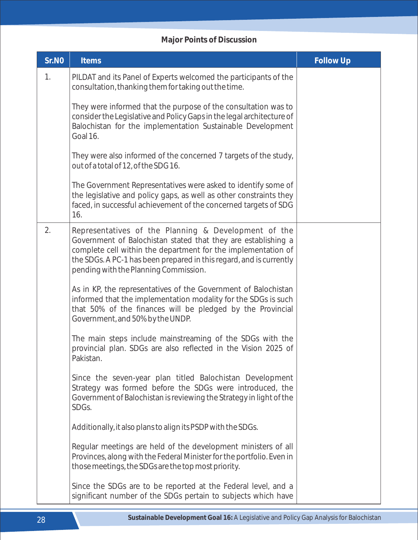# **Major Points of Discussion**

| Sr.NO | Items                                                                                                                                                                                                                                                                                                  | <b>Follow Up</b> |
|-------|--------------------------------------------------------------------------------------------------------------------------------------------------------------------------------------------------------------------------------------------------------------------------------------------------------|------------------|
| 1.    | PILDAT and its Panel of Experts welcomed the participants of the<br>consultation, thanking them for taking out the time.                                                                                                                                                                               |                  |
|       | They were informed that the purpose of the consultation was to<br>consider the Legislative and Policy Gaps in the legal architecture of<br>Balochistan for the implementation Sustainable Development<br>Goal 16.                                                                                      |                  |
|       | They were also informed of the concerned 7 targets of the study,<br>out of a total of 12, of the SDG 16.                                                                                                                                                                                               |                  |
|       | The Government Representatives were asked to identify some of<br>the legislative and policy gaps, as well as other constraints they<br>faced, in successful achievement of the concerned targets of SDG<br>16.                                                                                         |                  |
| 2.    | Representatives of the Planning & Development of the<br>Government of Balochistan stated that they are establishing a<br>complete cell within the department for the implementation of<br>the SDGs. A PC-1 has been prepared in this regard, and is currently<br>pending with the Planning Commission. |                  |
|       | As in KP, the representatives of the Government of Balochistan<br>informed that the implementation modality for the SDGs is such<br>that 50% of the finances will be pledged by the Provincial<br>Government, and 50% by the UNDP.                                                                     |                  |
|       | The main steps include mainstreaming of the SDGs with the<br>provincial plan. SDGs are also reflected in the Vision 2025 of<br>Pakistan.                                                                                                                                                               |                  |
|       | Since the seven-year plan titled Balochistan Development<br>Strategy was formed before the SDGs were introduced, the<br>Government of Balochistan is reviewing the Strategy in light of the<br>SDGs.                                                                                                   |                  |
|       | Additionally, it also plans to align its PSDP with the SDGs.                                                                                                                                                                                                                                           |                  |
|       | Regular meetings are held of the development ministers of all<br>Provinces, along with the Federal Minister for the portfolio. Even in<br>those meetings, the SDGs are the top most priority.                                                                                                          |                  |
|       | Since the SDGs are to be reported at the Federal level, and a<br>significant number of the SDGs pertain to subjects which have                                                                                                                                                                         |                  |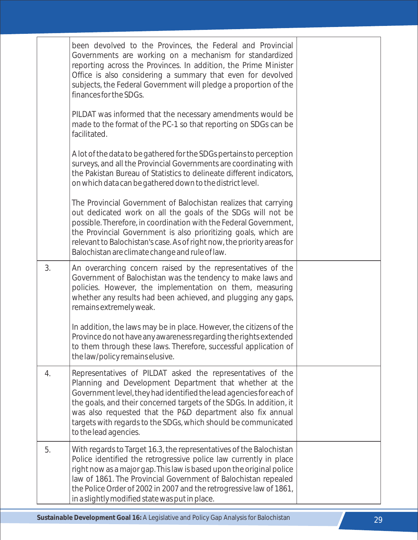|    | been devolved to the Provinces, the Federal and Provincial<br>Governments are working on a mechanism for standardized<br>reporting across the Provinces. In addition, the Prime Minister<br>Office is also considering a summary that even for devolved<br>subjects, the Federal Government will pledge a proportion of the<br>finances for the SDGs.                                                                        |  |
|----|------------------------------------------------------------------------------------------------------------------------------------------------------------------------------------------------------------------------------------------------------------------------------------------------------------------------------------------------------------------------------------------------------------------------------|--|
|    | PILDAT was informed that the necessary amendments would be<br>made to the format of the PC-1 so that reporting on SDGs can be<br>facilitated.                                                                                                                                                                                                                                                                                |  |
|    | A lot of the data to be gathered for the SDGs pertains to perception<br>surveys, and all the Provincial Governments are coordinating with<br>the Pakistan Bureau of Statistics to delineate different indicators.<br>on which data can be gathered down to the district level.                                                                                                                                               |  |
|    | The Provincial Government of Balochistan realizes that carrying<br>out dedicated work on all the goals of the SDGs will not be<br>possible. Therefore, in coordination with the Federal Government,<br>the Provincial Government is also prioritizing goals, which are<br>relevant to Balochistan's case. As of right now, the priority areas for<br>Balochistan are climate change and rule of law.                         |  |
| 3. | An overarching concern raised by the representatives of the<br>Government of Balochistan was the tendency to make laws and<br>policies. However, the implementation on them, measuring<br>whether any results had been achieved, and plugging any gaps,<br>remains extremely weak.                                                                                                                                           |  |
|    | In addition, the laws may be in place. However, the citizens of the<br>Province do not have any awareness regarding the rights extended<br>to them through these laws. Therefore, successful application of<br>the law/policy remains elusive.                                                                                                                                                                               |  |
| 4. | Representatives of PILDAT asked the representatives of the<br>Planning and Development Department that whether at the<br>Government level, they had identified the lead agencies for each of<br>the goals, and their concerned targets of the SDGs. In addition, it<br>was also requested that the P&D department also fix annual<br>targets with regards to the SDGs, which should be communicated<br>to the lead agencies. |  |
| 5. | With regards to Target 16.3, the representatives of the Balochistan<br>Police identified the retrogressive police law currently in place<br>right now as a major gap. This law is based upon the original police<br>law of 1861. The Provincial Government of Balochistan repealed<br>the Police Order of 2002 in 2007 and the retrogressive law of 1861,<br>in a slightly modified state was put in place.                  |  |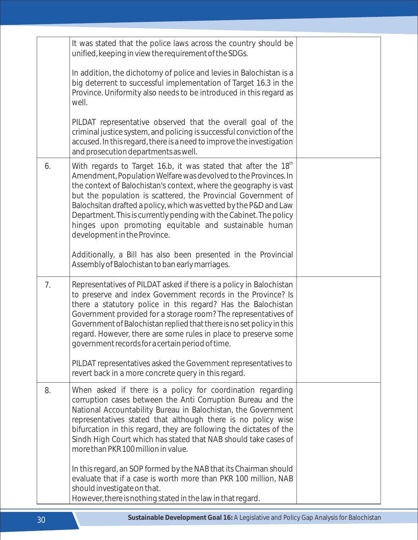|    | It was stated that the police laws across the country should be<br>unified, keeping in view the requirement of the SDGs.                                                                                                                                                                                                                                                                                                                                                                                                |  |
|----|-------------------------------------------------------------------------------------------------------------------------------------------------------------------------------------------------------------------------------------------------------------------------------------------------------------------------------------------------------------------------------------------------------------------------------------------------------------------------------------------------------------------------|--|
|    | In addition, the dichotomy of police and levies in Balochistan is a<br>big deterrent to successful implementation of Target 16.3 in the<br>Province. Uniformity also needs to be introduced in this regard as<br>well.                                                                                                                                                                                                                                                                                                  |  |
|    | PILDAT representative observed that the overall goal of the<br>criminal justice system, and policing is successful conviction of the<br>accused. In this regard, there is a need to improve the investigation<br>and prosecution departments as well.                                                                                                                                                                                                                                                                   |  |
| 6. | With regards to Target 16.b, it was stated that after the 18 <sup>th</sup><br>Amendment, Population Welfare was devolved to the Provinces. In<br>the context of Balochistan's context, where the geography is vast<br>but the population is scattered, the Provincial Government of<br>Balochsitan drafted a policy, which was vetted by the P&D and Law<br>Department. This is currently pending with the Cabinet. The policy<br>hinges upon promoting equitable and sustainable human<br>development in the Province. |  |
|    | Additionally, a Bill has also been presented in the Provincial<br>Assembly of Balochistan to ban early marriages.                                                                                                                                                                                                                                                                                                                                                                                                       |  |
| 7. | Representatives of PILDAT asked if there is a policy in Balochistan<br>to preserve and index Government records in the Province? Is<br>there a statutory police in this regard? Has the Balochistan<br>Government provided for a storage room? The representatives of<br>Government of Balochistan replied that there is no set policy in this<br>regard. However, there are some rules in place to preserve some<br>government records for a certain period of time.                                                   |  |
|    | PILDAT representatives asked the Government representatives to<br>revert back in a more concrete query in this regard.                                                                                                                                                                                                                                                                                                                                                                                                  |  |
| 8. | When asked if there is a policy for coordination regarding<br>corruption cases between the Anti Corruption Bureau and the<br>National Accountability Bureau in Balochistan, the Government<br>representatives stated that although there is no policy wise<br>bifurcation in this regard, they are following the dictates of the<br>Sindh High Court which has stated that NAB should take cases of<br>more than PKR 100 million in value.                                                                              |  |
|    | In this regard, an SOP formed by the NAB that its Chairman should<br>evaluate that if a case is worth more than PKR 100 million, NAB<br>should investigate on that.<br>However, there is nothing stated in the law in that regard.                                                                                                                                                                                                                                                                                      |  |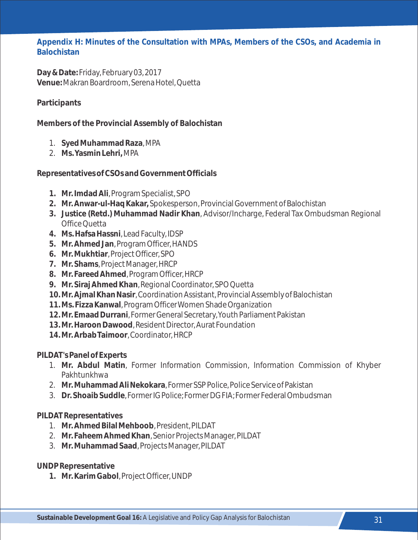**Appendix H: Minutes of the Consultation with MPAs, Members of the CSOs, and Academia in Balochistan**

**Day & Date:** Friday, February 03, 2017 **Venue:** Makran Boardroom, Serena Hotel, Quetta

### **Participants**

**Members of the Provincial Assembly of Balochistan** 

- 1. **Syed Muhammad Raza**, MPA
- 2. **Ms. Yasmin Lehri,**MPA

**Representatives of CSOs and Government Officials**

- **1. Mr. Imdad Ali**, Program Specialist, SPO
- **2. Mr. Anwar-ul-Haq Kakar,** Spokesperson, Provincial Government of Balochistan
- **3. Justice (Retd.) Muhammad Nadir Khan**, Advisor/Incharge, Federal Tax Ombudsman Regional Office Quetta
- **4. Ms. Hafsa Hassni**, Lead Faculty, IDSP
- **5. Mr. Ahmed Jan**, Program Officer, HANDS
- **6. Mr. Mukhtiar**, Project Officer, SPO
- **7. Mr. Shams**, Project Manager, HRCP
- **8. Mr. Fareed Ahmed**, Program Officer, HRCP
- **9. Mr. Siraj Ahmed Khan**, Regional Coordinator, SPO Quetta
- **10.Mr. Ajmal Khan Nasir**, Coordination Assistant, Provincial Assembly of Balochistan
- **11.Ms. Fizza Kanwal**, Program Officer Women Shade Organization
- **12.Mr. Emaad Durrani**, Former General Secretary, Youth Parliament Pakistan
- **13.Mr. Haroon Dawood**, Resident Director, Aurat Foundation
- **14.Mr. Arbab Taimoor**, Coordinator, HRCP

#### **PILDAT's Panel of Experts**

- 1. **Mr. Abdul Matin**, Former Information Commission, Information Commission of Khyber Pakhtunkhwa
- 2. **Mr. Muhammad Ali Nekokara**, Former SSP Police, Police Service of Pakistan
- 3. **Dr. Shoaib Suddle**, Former IG Police; Former DG FIA; Former Federal Ombudsman

#### **PILDAT Representatives**

- 1. **Mr. Ahmed Bilal Mehboob**, President, PILDAT
- 2. **Mr. Faheem Ahmed Khan**, Senior Projects Manager, PILDAT
- 3. **Mr. Muhammad Saad**, Projects Manager, PILDAT

**UNDP Representative**

**1. Mr. Karim Gabol**, Project Officer, UNDP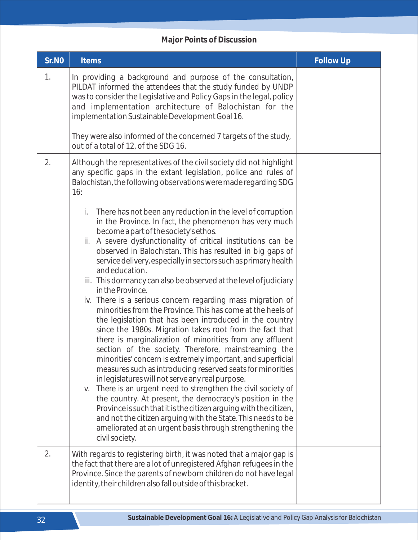# **Major Points of Discussion**

| Sr.NO | <b>Items</b>                                                                                                                                                                                                                                                                                                                                                                                                                                                                                                                                                                                                                                                                                                                                                                                                                                                                                                                                                                                                                                                                                                                                                                                                                                                                                                                                                                                | <b>Follow Up</b> |
|-------|---------------------------------------------------------------------------------------------------------------------------------------------------------------------------------------------------------------------------------------------------------------------------------------------------------------------------------------------------------------------------------------------------------------------------------------------------------------------------------------------------------------------------------------------------------------------------------------------------------------------------------------------------------------------------------------------------------------------------------------------------------------------------------------------------------------------------------------------------------------------------------------------------------------------------------------------------------------------------------------------------------------------------------------------------------------------------------------------------------------------------------------------------------------------------------------------------------------------------------------------------------------------------------------------------------------------------------------------------------------------------------------------|------------------|
| 1.    | In providing a background and purpose of the consultation,<br>PILDAT informed the attendees that the study funded by UNDP<br>was to consider the Legislative and Policy Gaps in the legal, policy<br>and implementation architecture of Balochistan for the<br>implementation Sustainable Development Goal 16.                                                                                                                                                                                                                                                                                                                                                                                                                                                                                                                                                                                                                                                                                                                                                                                                                                                                                                                                                                                                                                                                              |                  |
|       | They were also informed of the concerned 7 targets of the study,<br>out of a total of 12, of the SDG 16.                                                                                                                                                                                                                                                                                                                                                                                                                                                                                                                                                                                                                                                                                                                                                                                                                                                                                                                                                                                                                                                                                                                                                                                                                                                                                    |                  |
| 2.    | Although the representatives of the civil society did not highlight<br>any specific gaps in the extant legislation, police and rules of<br>Balochistan, the following observations were made regarding SDG<br>16:                                                                                                                                                                                                                                                                                                                                                                                                                                                                                                                                                                                                                                                                                                                                                                                                                                                                                                                                                                                                                                                                                                                                                                           |                  |
|       | There has not been any reduction in the level of corruption<br>İ.<br>in the Province. In fact, the phenomenon has very much<br>become a part of the society's ethos.<br>ii. A severe dysfunctionality of critical institutions can be<br>observed in Balochistan. This has resulted in big gaps of<br>service delivery, especially in sectors such as primary health<br>and education.<br>iii. This dormancy can also be observed at the level of judiciary<br>in the Province.<br>iv. There is a serious concern regarding mass migration of<br>minorities from the Province. This has come at the heels of<br>the legislation that has been introduced in the country<br>since the 1980s. Migration takes root from the fact that<br>there is marginalization of minorities from any affluent<br>section of the society. Therefore, mainstreaming the<br>minorities' concern is extremely important, and superficial<br>measures such as introducing reserved seats for minorities<br>in legislatures will not serve any real purpose.<br>There is an urgent need to strengthen the civil society of<br>V.<br>the country. At present, the democracy's position in the<br>Province is such that it is the citizen arguing with the citizen,<br>and not the citizen arguing with the State. This needs to be<br>ameliorated at an urgent basis through strengthening the<br>civil society. |                  |
| 2.    | With regards to registering birth, it was noted that a major gap is<br>the fact that there are a lot of unregistered Afghan refugees in the<br>Province. Since the parents of newborn children do not have legal<br>identity, their children also fall outside of this bracket.                                                                                                                                                                                                                                                                                                                                                                                                                                                                                                                                                                                                                                                                                                                                                                                                                                                                                                                                                                                                                                                                                                             |                  |